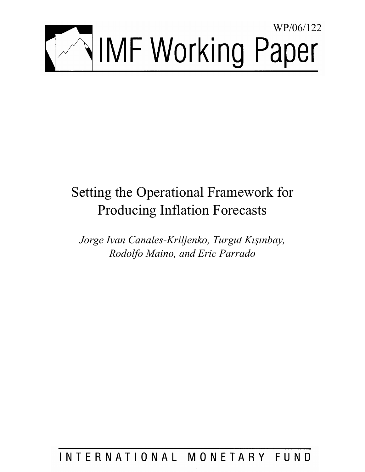

# Setting the Operational Framework for Producing Inflation Forecasts

*Jorge Ivan Canales-Kriljenko, Turgut Kışınbay, Rodolfo Maino, and Eric Parrado* 

INTERNATIONAL MONETARY FUND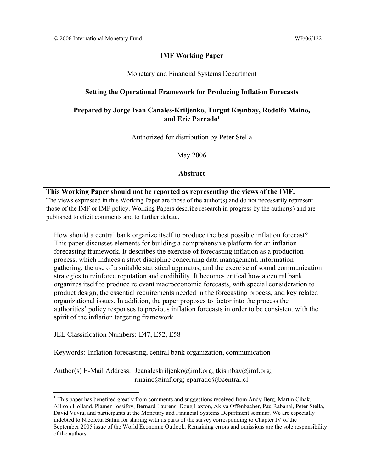## **IMF Working Paper**

Monetary and Financial Systems Department

## **Setting the Operational Framework for Producing Inflation Forecasts**

# **Prepared by Jorge Ivan Canales-Kriljenko, Turgut Kışınbay, Rodolfo Maino, and Eric Parrado1**

Authorized for distribution by Peter Stella

May 2006

#### **Abstract**

**This Working Paper should not be reported as representing the views of the IMF.** The views expressed in this Working Paper are those of the author(s) and do not necessarily represent those of the IMF or IMF policy. Working Papers describe research in progress by the author(s) and are published to elicit comments and to further debate.

How should a central bank organize itself to produce the best possible inflation forecast? This paper discusses elements for building a comprehensive platform for an inflation forecasting framework. It describes the exercise of forecasting inflation as a production process, which induces a strict discipline concerning data management, information gathering, the use of a suitable statistical apparatus, and the exercise of sound communication strategies to reinforce reputation and credibility. It becomes critical how a central bank organizes itself to produce relevant macroeconomic forecasts, with special consideration to product design, the essential requirements needed in the forecasting process, and key related organizational issues. In addition, the paper proposes to factor into the process the authorities' policy responses to previous inflation forecasts in order to be consistent with the spirit of the inflation targeting framework.

JEL Classification Numbers: E47, E52, E58

 $\overline{a}$ 

Keywords: Inflation forecasting, central bank organization, communication

Author(s) E-Mail Address: Jcanaleskriljenko@imf.org; tkisinbay@imf.org; rmaino@imf.org; eparrado@bcentral.cl

 $<sup>1</sup>$  This paper has benefited greatly from comments and suggestions received from Andy Berg, Martin Cihak,</sup> Allison Holland, Plamen Iossifov, Bernard Laurens, Doug Laxton, Akiva Offenbacher, Pau Rabanal, Peter Stella, David Vavra, and participants at the Monetary and Financial Systems Department seminar. We are especially indebted to Nicoletta Batini for sharing with us parts of the survey corresponding to Chapter IV of the September 2005 issue of the World Economic Outlook. Remaining errors and omissions are the sole responsibility of the authors.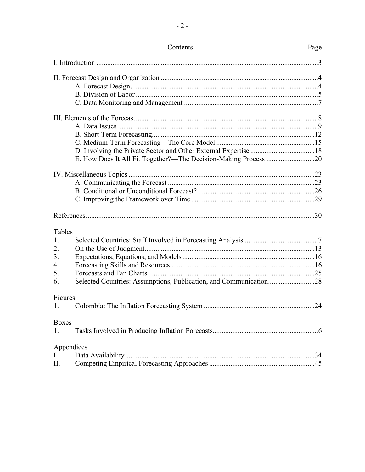| Tables       |                                                                   |  |
|--------------|-------------------------------------------------------------------|--|
| 1.           |                                                                   |  |
| 2.           |                                                                   |  |
| 3.           |                                                                   |  |
| 4.           |                                                                   |  |
| 5.           |                                                                   |  |
| 6.           | Selected Countries: Assumptions, Publication, and Communication28 |  |
| Figures      |                                                                   |  |
| $1_{-}$      |                                                                   |  |
| <b>Boxes</b> |                                                                   |  |
| 1.           |                                                                   |  |
|              | Appendices                                                        |  |
| I.           |                                                                   |  |
| Π.           |                                                                   |  |

Contents

Page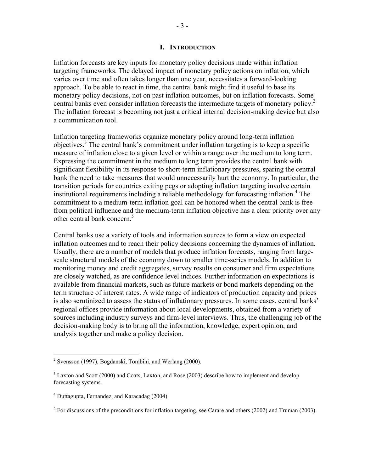#### **I. INTRODUCTION**

Inflation forecasts are key inputs for monetary policy decisions made within inflation targeting frameworks. The delayed impact of monetary policy actions on inflation, which varies over time and often takes longer than one year, necessitates a forward-looking approach. To be able to react in time, the central bank might find it useful to base its monetary policy decisions, not on past inflation outcomes, but on inflation forecasts. Some central banks even consider inflation forecasts the intermediate targets of monetary policy.<sup>2</sup> The inflation forecast is becoming not just a critical internal decision-making device but also a communication tool.

Inflation targeting frameworks organize monetary policy around long-term inflation objectives.<sup>3</sup> The central bank's commitment under inflation targeting is to keep a specific measure of inflation close to a given level or within a range over the medium to long term. Expressing the commitment in the medium to long term provides the central bank with significant flexibility in its response to short-term inflationary pressures, sparing the central bank the need to take measures that would unnecessarily hurt the economy. In particular, the transition periods for countries exiting pegs or adopting inflation targeting involve certain institutional requirements including a reliable methodology for forecasting inflation.<sup>4</sup> The commitment to a medium-term inflation goal can be honored when the central bank is free from political influence and the medium-term inflation objective has a clear priority over any other central bank concern.<sup>5</sup>

Central banks use a variety of tools and information sources to form a view on expected inflation outcomes and to reach their policy decisions concerning the dynamics of inflation. Usually, there are a number of models that produce inflation forecasts, ranging from largescale structural models of the economy down to smaller time-series models. In addition to monitoring money and credit aggregates, survey results on consumer and firm expectations are closely watched, as are confidence level indices. Further information on expectations is available from financial markets, such as future markets or bond markets depending on the term structure of interest rates. A wide range of indicators of production capacity and prices is also scrutinized to assess the status of inflationary pressures. In some cases, central banks' regional offices provide information about local developments, obtained from a variety of sources including industry surveys and firm-level interviews. Thus, the challenging job of the decision-making body is to bring all the information, knowledge, expert opinion, and analysis together and make a policy decision.

 2 Svensson (1997), Bogdanski, Tombini, and Werlang (2000).

 $3$  Laxton and Scott (2000) and Coats, Laxton, and Rose (2003) describe how to implement and develop forecasting systems.

<sup>4</sup> Duttagupta, Fernandez, and Karacadag (2004).

<sup>&</sup>lt;sup>5</sup> For discussions of the preconditions for inflation targeting, see Carare and others (2002) and Truman (2003).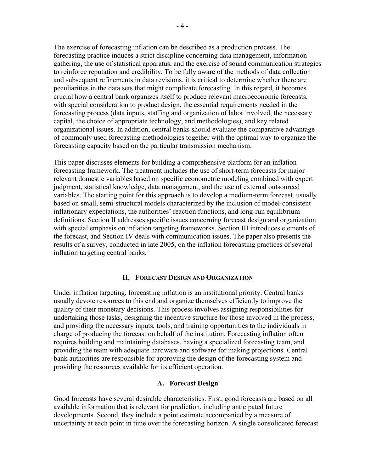The exercise of forecasting inflation can be described as a production process. The forecasting practice induces a strict discipline concerning data management, information gathering, the use of statistical apparatus, and the exercise of sound communication strategies to reinforce reputation and credibility. To be fully aware of the methods of data collection and subsequent refinements in data revisions, it is critical to determine whether there are peculiarities in the data sets that might complicate forecasting. In this regard, it becomes crucial how a central bank organizes itself to produce relevant macroeconomic forecasts, with special consideration to product design, the essential requirements needed in the forecasting process (data inputs, staffing and organization of labor involved, the necessary capital, the choice of appropriate technology, and methodologies), and key related organizational issues. In addition, central banks should evaluate the comparative advantage of commonly used forecasting methodologies together with the optimal way to organize the forecasting capacity based on the particular transmission mechanism.

This paper discusses elements for building a comprehensive platform for an inflation forecasting framework. The treatment includes the use of short-term forecasts for major relevant domestic variables based on specific econometric modeling combined with expert judgment, statistical knowledge, data management, and the use of external outsourced variables. The starting point for this approach is to develop a medium-term forecast, usually based on small, semi-structural models characterized by the inclusion of model-consistent inflationary expectations, the authorities' reaction functions, and long-run equilibrium definitions. Section II addresses specific issues concerning forecast design and organization with special emphasis on inflation targeting frameworks. Section III introduces elements of the forecast, and Section IV deals with communication issues. The paper also presents the results of a survey, conducted in late 2005, on the inflation forecasting practices of several inflation targeting central banks.

## **II. FORECAST DESIGN AND ORGANIZATION**

Under inflation targeting, forecasting inflation is an institutional priority. Central banks usually devote resources to this end and organize themselves efficiently to improve the quality of their monetary decisions. This process involves assigning responsibilities for undertaking those tasks, designing the incentive structure for those involved in the process, and providing the necessary inputs, tools, and training opportunities to the individuals in charge of producing the forecast on behalf of the institution. Forecasting inflation often requires building and maintaining databases, having a specialized forecasting team, and providing the team with adequate hardware and software for making projections. Central bank authorities are responsible for approving the design of the forecasting system and providing the resources available for its efficient operation.

## **A. Forecast Design**

Good forecasts have several desirable characteristics. First, good forecasts are based on all available information that is relevant for prediction, including anticipated future developments. Second, they include a point estimate accompanied by a measure of uncertainty at each point in time over the forecasting horizon. A single consolidated forecast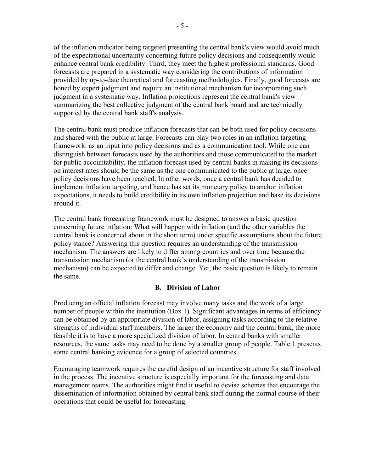of the inflation indicator being targeted presenting the central bank's view would avoid much of the expectational uncertainty concerning future policy decisions and consequently would enhance central bank credibility. Third, they meet the highest professional standards. Good forecasts are prepared in a systematic way considering the contributions of information provided by up-to-date theoretical and forecasting methodologies. Finally, good forecasts are honed by expert judgment and require an institutional mechanism for incorporating such judgment in a systematic way. Inflation projections represent the central bank's view summarizing the best collective judgment of the central bank board and are technically supported by the central bank staff's analysis.

The central bank must produce inflation forecasts that can be both used for policy decisions and shared with the public at large. Forecasts can play two roles in an inflation targeting framework: as an input into policy decisions and as a communication tool. While one can distinguish between forecasts used by the authorities and those communicated to the market for public accountability, the inflation forecast used by central banks in making its decisions on interest rates should be the same as the one communicated to the public at large, once policy decisions have been reached. In other words, once a central bank has decided to implement inflation targeting, and hence has set its monetary policy to anchor inflation expectations, it needs to build credibility in its own inflation projection and base its decisions around it.

The central bank forecasting framework must be designed to answer a basic question concerning future inflation: What will happen with inflation (and the other variables the central bank is concerned about in the short term) under specific assumptions about the future policy stance? Answering this question requires an understanding of the transmission mechanism. The answers are likely to differ among countries and over time because the transmission mechanism (or the central bank's understanding of the transmission mechanism) can be expected to differ and change. Yet, the basic question is likely to remain the same.

## **B. Division of Labor**

Producing an official inflation forecast may involve many tasks and the work of a large number of people within the institution (Box 1). Significant advantages in terms of efficiency can be obtained by an appropriate division of labor, assigning tasks according to the relative strengths of individual staff members. The larger the economy and the central bank, the more feasible it is to have a more specialized division of labor. In central banks with smaller resources, the same tasks may need to be done by a smaller group of people. Table 1 presents some central banking evidence for a group of selected countries.

Encouraging teamwork requires the careful design of an incentive structure for staff involved in the process. The incentive structure is especially important for the forecasting and data management teams. The authorities might find it useful to devise schemes that encourage the dissemination of information obtained by central bank staff during the normal course of their operations that could be useful for forecasting.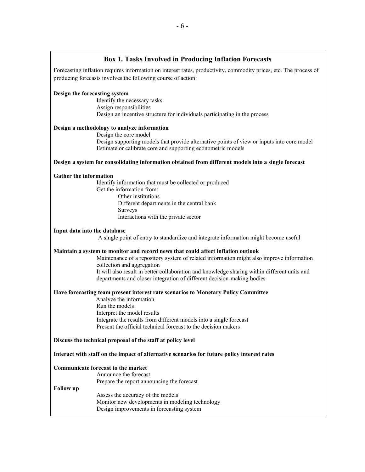#### **Box 1. Tasks Involved in Producing Inflation Forecasts**

Forecasting inflation requires information on interest rates, productivity, commodity prices, etc. The process of producing forecasts involves the following course of action:

#### **Design the forecasting system**

 Identify the necessary tasks Assign responsibilities Design an incentive structure for individuals participating in the process

#### **Design a methodology to analyze information**

 Design the core model Design supporting models that provide alternative points of view or inputs into core model Estimate or calibrate core and supporting econometric models

#### **Design a system for consolidating information obtained from different models into a single forecast**

#### **Gather the information**

 Identify information that must be collected or produced Get the information from: Other institutions Different departments in the central bank Surveys

Interactions with the private sector

#### **Input data into the database**

A single point of entry to standardize and integrate information might become useful

#### **Maintain a system to monitor and record news that could affect inflation outlook**

Maintenance of a repository system of related information might also improve information collection and aggregation It will also result in better collaboration and knowledge sharing within different units and departments and closer integration of different decision-making bodies

#### **Have forecasting team present interest rate scenarios to Monetary Policy Committee**

 Analyze the information Run the models Interpret the model results Integrate the results from different models into a single forecast Present the official technical forecast to the decision makers

#### **Discuss the technical proposal of the staff at policy level**

**Interact with staff on the impact of alternative scenarios for future policy interest rates** 

#### **Communicate forecast to the market**

Announce the forecast

Prepare the report announcing the forecast

#### **Follow up**

Assess the accuracy of the models Monitor new developments in modeling technology Design improvements in forecasting system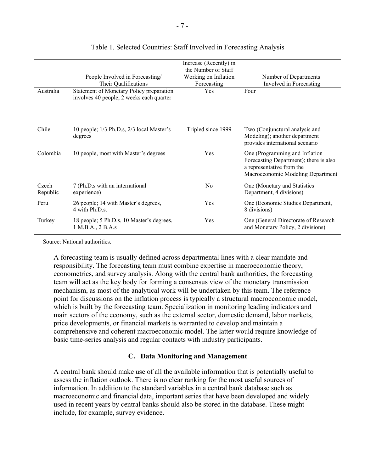|                   | People Involved in Forecasting/<br>Their Qualifications                              | Increase (Recently) in<br>the Number of Staff<br>Working on Inflation<br>Forecasting | Number of Departments<br>Involved in Forecasting                                                                                           |
|-------------------|--------------------------------------------------------------------------------------|--------------------------------------------------------------------------------------|--------------------------------------------------------------------------------------------------------------------------------------------|
| Australia         | Statement of Monetary Policy preparation<br>involves 40 people, 2 weeks each quarter | Yes                                                                                  | Four                                                                                                                                       |
| Chile             | 10 people; 1/3 Ph.D.s, 2/3 local Master's<br>degrees                                 | Tripled since 1999                                                                   | Two (Conjunctural analysis and<br>Modeling); another department<br>provides international scenario                                         |
| Colombia          | 10 people, most with Master's degrees                                                | Yes                                                                                  | One (Programming and Inflation<br>Forecasting Department); there is also<br>a representative from the<br>Macroeconomic Modeling Department |
| Czech<br>Republic | 7 (Ph.D.s with an international<br>experience)                                       | N <sub>0</sub>                                                                       | One (Monetary and Statistics<br>Department, 4 divisions)                                                                                   |
| Peru              | 26 people; 14 with Master's degrees,<br>4 with Ph.D.s.                               | Yes                                                                                  | One (Economic Studies Department,<br>8 divisions)                                                                                          |
| Turkey            | 18 people; 5 Ph.D.s, 10 Master's degrees,<br>1 M.B.A., 2 B.A.s                       | Yes                                                                                  | One (General Directorate of Research<br>and Monetary Policy, 2 divisions)                                                                  |

## Table 1. Selected Countries: Staff Involved in Forecasting Analysis

Source: National authorities.

A forecasting team is usually defined across departmental lines with a clear mandate and responsibility. The forecasting team must combine expertise in macroeconomic theory, econometrics, and survey analysis. Along with the central bank authorities, the forecasting team will act as the key body for forming a consensus view of the monetary transmission mechanism, as most of the analytical work will be undertaken by this team. The reference point for discussions on the inflation process is typically a structural macroeconomic model, which is built by the forecasting team. Specialization in monitoring leading indicators and main sectors of the economy, such as the external sector, domestic demand, labor markets, price developments, or financial markets is warranted to develop and maintain a comprehensive and coherent macroeconomic model. The latter would require knowledge of basic time-series analysis and regular contacts with industry participants.

## **C. Data Monitoring and Management**

A central bank should make use of all the available information that is potentially useful to assess the inflation outlook. There is no clear ranking for the most useful sources of information. In addition to the standard variables in a central bank database such as macroeconomic and financial data, important series that have been developed and widely used in recent years by central banks should also be stored in the database. These might include, for example, survey evidence.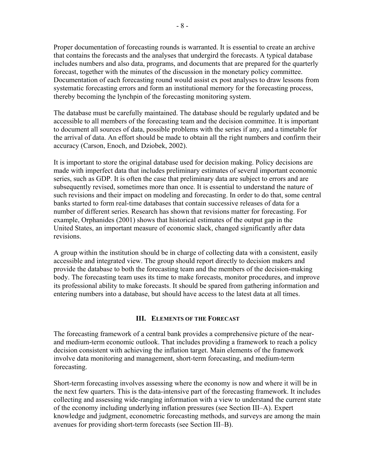Proper documentation of forecasting rounds is warranted. It is essential to create an archive that contains the forecasts and the analyses that undergird the forecasts. A typical database includes numbers and also data, programs, and documents that are prepared for the quarterly forecast, together with the minutes of the discussion in the monetary policy committee. Documentation of each forecasting round would assist ex post analyses to draw lessons from systematic forecasting errors and form an institutional memory for the forecasting process, thereby becoming the lynchpin of the forecasting monitoring system.

The database must be carefully maintained. The database should be regularly updated and be accessible to all members of the forecasting team and the decision committee. It is important to document all sources of data, possible problems with the series if any, and a timetable for the arrival of data. An effort should be made to obtain all the right numbers and confirm their accuracy (Carson, Enoch, and Dziobek, 2002).

It is important to store the original database used for decision making. Policy decisions are made with imperfect data that includes preliminary estimates of several important economic series, such as GDP. It is often the case that preliminary data are subject to errors and are subsequently revised, sometimes more than once. It is essential to understand the nature of such revisions and their impact on modeling and forecasting. In order to do that, some central banks started to form real-time databases that contain successive releases of data for a number of different series. Research has shown that revisions matter for forecasting. For example, Orphanides (2001) shows that historical estimates of the output gap in the United States, an important measure of economic slack, changed significantly after data revisions.

A group within the institution should be in charge of collecting data with a consistent, easily accessible and integrated view. The group should report directly to decision makers and provide the database to both the forecasting team and the members of the decision-making body. The forecasting team uses its time to make forecasts, monitor procedures, and improve its professional ability to make forecasts. It should be spared from gathering information and entering numbers into a database, but should have access to the latest data at all times.

#### **III. ELEMENTS OF THE FORECAST**

The forecasting framework of a central bank provides a comprehensive picture of the nearand medium-term economic outlook. That includes providing a framework to reach a policy decision consistent with achieving the inflation target. Main elements of the framework involve data monitoring and management, short-term forecasting, and medium-term forecasting.

Short-term forecasting involves assessing where the economy is now and where it will be in the next few quarters. This is the data-intensive part of the forecasting framework. It includes collecting and assessing wide-ranging information with a view to understand the current state of the economy including underlying inflation pressures (see Section III–A). Expert knowledge and judgment, econometric forecasting methods, and surveys are among the main avenues for providing short-term forecasts (see Section III–B).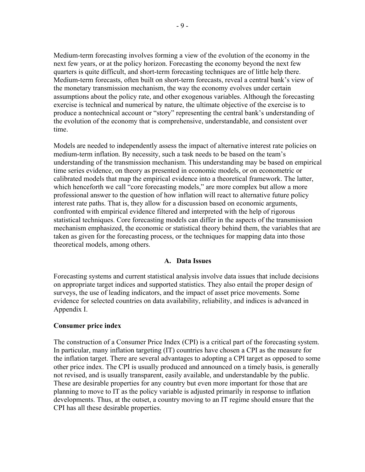Medium-term forecasting involves forming a view of the evolution of the economy in the next few years, or at the policy horizon. Forecasting the economy beyond the next few quarters is quite difficult, and short-term forecasting techniques are of little help there. Medium-term forecasts, often built on short-term forecasts, reveal a central bank's view of the monetary transmission mechanism, the way the economy evolves under certain assumptions about the policy rate, and other exogenous variables. Although the forecasting exercise is technical and numerical by nature, the ultimate objective of the exercise is to produce a nontechnical account or "story" representing the central bank's understanding of the evolution of the economy that is comprehensive, understandable, and consistent over time.

Models are needed to independently assess the impact of alternative interest rate policies on medium-term inflation. By necessity, such a task needs to be based on the team's understanding of the transmission mechanism. This understanding may be based on empirical time series evidence, on theory as presented in economic models, or on econometric or calibrated models that map the empirical evidence into a theoretical framework. The latter, which henceforth we call "core forecasting models," are more complex but allow a more professional answer to the question of how inflation will react to alternative future policy interest rate paths. That is, they allow for a discussion based on economic arguments, confronted with empirical evidence filtered and interpreted with the help of rigorous statistical techniques. Core forecasting models can differ in the aspects of the transmission mechanism emphasized, the economic or statistical theory behind them, the variables that are taken as given for the forecasting process, or the techniques for mapping data into those theoretical models, among others.

## **A. Data Issues**

Forecasting systems and current statistical analysis involve data issues that include decisions on appropriate target indices and supported statistics. They also entail the proper design of surveys, the use of leading indicators, and the impact of asset price movements. Some evidence for selected countries on data availability, reliability, and indices is advanced in Appendix I.

## **Consumer price index**

The construction of a Consumer Price Index (CPI) is a critical part of the forecasting system. In particular, many inflation targeting (IT) countries have chosen a CPI as the measure for the inflation target. There are several advantages to adopting a CPI target as opposed to some other price index. The CPI is usually produced and announced on a timely basis, is generally not revised, and is usually transparent, easily available, and understandable by the public. These are desirable properties for any country but even more important for those that are planning to move to IT as the policy variable is adjusted primarily in response to inflation developments. Thus, at the outset, a country moving to an IT regime should ensure that the CPI has all these desirable properties.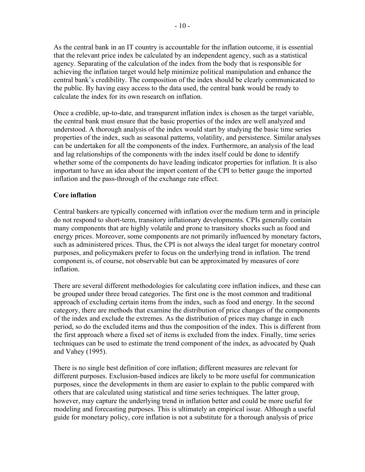As the central bank in an IT country is accountable for the inflation outcome, it is essential that the relevant price index be calculated by an independent agency, such as a statistical agency. Separating of the calculation of the index from the body that is responsible for achieving the inflation target would help minimize political manipulation and enhance the central bank's credibility. The composition of the index should be clearly communicated to the public. By having easy access to the data used, the central bank would be ready to calculate the index for its own research on inflation.

Once a credible, up-to-date, and transparent inflation index is chosen as the target variable, the central bank must ensure that the basic properties of the index are well analyzed and understood. A thorough analysis of the index would start by studying the basic time series properties of the index, such as seasonal patterns, volatility, and persistence. Similar analyses can be undertaken for all the components of the index. Furthermore, an analysis of the lead and lag relationships of the components with the index itself could be done to identify whether some of the components do have leading indicator properties for inflation. It is also important to have an idea about the import content of the CPI to better gauge the imported inflation and the pass-through of the exchange rate effect.

## **Core inflation**

Central bankers are typically concerned with inflation over the medium term and in principle do not respond to short-term, transitory inflationary developments. CPIs generally contain many components that are highly volatile and prone to transitory shocks such as food and energy prices. Moreover, some components are not primarily influenced by monetary factors, such as administered prices. Thus, the CPI is not always the ideal target for monetary control purposes, and policymakers prefer to focus on the underlying trend in inflation. The trend component is, of course, not observable but can be approximated by measures of core inflation.

There are several different methodologies for calculating core inflation indices, and these can be grouped under three broad categories. The first one is the most common and traditional approach of excluding certain items from the index, such as food and energy. In the second category, there are methods that examine the distribution of price changes of the components of the index and exclude the extremes. As the distribution of prices may change in each period, so do the excluded items and thus the composition of the index. This is different from the first approach where a fixed set of items is excluded from the index. Finally, time series techniques can be used to estimate the trend component of the index, as advocated by Quah and Vahey (1995).

There is no single best definition of core inflation; different measures are relevant for different purposes. Exclusion-based indices are likely to be more useful for communication purposes, since the developments in them are easier to explain to the public compared with others that are calculated using statistical and time series techniques. The latter group, however, may capture the underlying trend in inflation better and could be more useful for modeling and forecasting purposes. This is ultimately an empirical issue. Although a useful guide for monetary policy, core inflation is not a substitute for a thorough analysis of price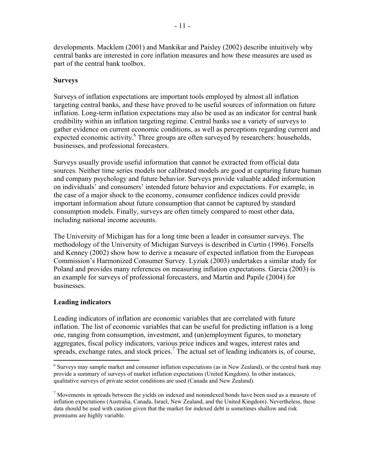developments. Macklem (2001) and Mankikar and Paisley (2002) describe intuitively why central banks are interested in core inflation measures and how these measures are used as part of the central bank toolbox.

# **Surveys**

Surveys of inflation expectations are important tools employed by almost all inflation targeting central banks, and these have proved to be useful sources of information on future inflation. Long-term inflation expectations may also be used as an indicator for central bank credibility within an inflation targeting regime. Central banks use a variety of surveys to gather evidence on current economic conditions, as well as perceptions regarding current and expected economic activity.<sup>6</sup> Three groups are often surveyed by researchers: households, businesses, and professional forecasters.

Surveys usually provide useful information that cannot be extracted from official data sources. Neither time series models nor calibrated models are good at capturing future human and company psychology and future behavior. Surveys provide valuable added information on individuals' and consumers' intended future behavior and expectations. For example, in the case of a major shock to the economy, consumer confidence indices could provide important information about future consumption that cannot be captured by standard consumption models. Finally, surveys are often timely compared to most other data, including national income accounts.

The University of Michigan has for a long time been a leader in consumer surveys. The methodology of the University of Michigan Surveys is described in Curtin (1996). Forsells and Kenney (2002) show how to derive a measure of expected inflation from the European Commission's Harmonized Consumer Survey. Lyziak (2003) undertakes a similar study for Poland and provides many references on measuring inflation expectations. Garcia (2003) is an example for surveys of professional forecasters, and Martin and Papile (2004) for businesses.

# **Leading indicators**

 $\overline{a}$ 

Leading indicators of inflation are economic variables that are correlated with future inflation. The list of economic variables that can be useful for predicting inflation is a long one, ranging from consumption, investment, and (un)employment figures, to monetary aggregates, fiscal policy indicators, various price indices and wages, interest rates and spreads, exchange rates, and stock prices.<sup>7</sup> The actual set of leading indicators is, of course,

<sup>&</sup>lt;sup>6</sup> Surveys may sample market and consumer inflation expectations (as in New Zealand), or the central bank may provide a summary of surveys of market inflation expectations (United Kingdom). In other instances, qualitative surveys of private sector conditions are used (Canada and New Zealand).

 $<sup>7</sup>$  Movements in spreads between the yields on indexed and nonindexed bonds have been used as a measure of</sup> inflation expectations (Australia, Canada, Israel, New Zealand, and the United Kingdom). Nevertheless, these data should be used with caution given that the market for indexed debt is sometimes shallow and risk premiums are highly variable.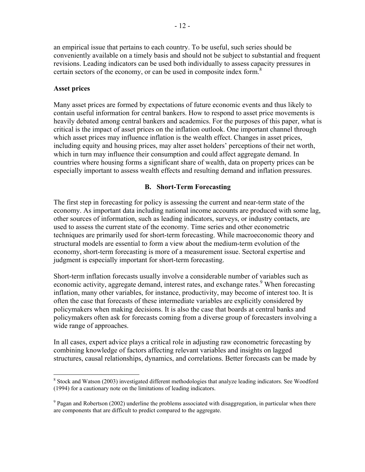an empirical issue that pertains to each country. To be useful, such series should be conveniently available on a timely basis and should not be subject to substantial and frequent revisions. Leading indicators can be used both individually to assess capacity pressures in certain sectors of the economy, or can be used in composite index form.<sup>8</sup>

## **Asset prices**

 $\overline{a}$ 

Many asset prices are formed by expectations of future economic events and thus likely to contain useful information for central bankers. How to respond to asset price movements is heavily debated among central bankers and academics. For the purposes of this paper, what is critical is the impact of asset prices on the inflation outlook. One important channel through which asset prices may influence inflation is the wealth effect. Changes in asset prices, including equity and housing prices, may alter asset holders' perceptions of their net worth, which in turn may influence their consumption and could affect aggregate demand. In countries where housing forms a significant share of wealth, data on property prices can be especially important to assess wealth effects and resulting demand and inflation pressures.

## **B. Short-Term Forecasting**

The first step in forecasting for policy is assessing the current and near-term state of the economy. As important data including national income accounts are produced with some lag, other sources of information, such as leading indicators, surveys, or industry contacts, are used to assess the current state of the economy. Time series and other econometric techniques are primarily used for short-term forecasting. While macroeconomic theory and structural models are essential to form a view about the medium-term evolution of the economy, short-term forecasting is more of a measurement issue. Sectoral expertise and judgment is especially important for short-term forecasting.

Short-term inflation forecasts usually involve a considerable number of variables such as economic activity, aggregate demand, interest rates, and exchange rates.<sup>9</sup> When forecasting inflation, many other variables, for instance, productivity, may become of interest too. It is often the case that forecasts of these intermediate variables are explicitly considered by policymakers when making decisions. It is also the case that boards at central banks and policymakers often ask for forecasts coming from a diverse group of forecasters involving a wide range of approaches.

In all cases, expert advice plays a critical role in adjusting raw econometric forecasting by combining knowledge of factors affecting relevant variables and insights on lagged structures, causal relationships, dynamics, and correlations. Better forecasts can be made by

<sup>&</sup>lt;sup>8</sup> Stock and Watson (2003) investigated different methodologies that analyze leading indicators. See Woodford (1994) for a cautionary note on the limitations of leading indicators.

<sup>&</sup>lt;sup>9</sup> Pagan and Robertson (2002) underline the problems associated with disaggregation, in particular when there are components that are difficult to predict compared to the aggregate.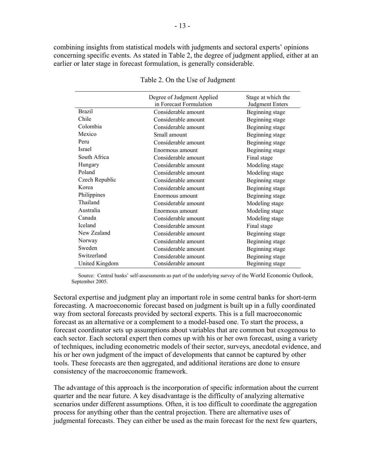combining insights from statistical models with judgments and sectoral experts' opinions concerning specific events. As stated in Table 2, the degree of judgment applied, either at an earlier or later stage in forecast formulation, is generally considerable.

|                | Degree of Judgment Applied | Stage at which the     |
|----------------|----------------------------|------------------------|
|                | in Forecast Formulation    | <b>Judgment Enters</b> |
| <b>Brazil</b>  | Considerable amount        | Beginning stage        |
| Chile          | Considerable amount        | Beginning stage        |
| Colombia       | Considerable amount        | Beginning stage        |
| Mexico         | Small amount               | Beginning stage        |
| Peru           | Considerable amount        | Beginning stage        |
| Israel         | Enormous amount            | Beginning stage        |
| South Africa   | Considerable amount        | Final stage            |
| Hungary        | Considerable amount        | Modeling stage         |
| Poland         | Considerable amount        | Modeling stage         |
| Czech Republic | Considerable amount        | Beginning stage        |
| Korea          | Considerable amount        | Beginning stage        |
| Philippines    | Enormous amount            | Beginning stage        |
| Thailand       | Considerable amount        | Modeling stage         |
| Australia      | Enormous amount            | Modeling stage         |
| Canada         | Considerable amount        | Modeling stage         |
| Iceland        | Considerable amount        | Final stage            |
| New Zealand    | Considerable amount        | Beginning stage        |
| Norway         | Considerable amount        | Beginning stage        |
| Sweden         | Considerable amount        | Beginning stage        |
| Switzerland    | Considerable amount        | Beginning stage        |
| United Kingdom | Considerable amount        | Beginning stage        |

#### Table 2. On the Use of Judgment

 Source: Central banks' self-assessments as part of the underlying survey of the World Economic Outlook, September 2005.

Sectoral expertise and judgment play an important role in some central banks for short-term forecasting. A macroeconomic forecast based on judgment is built up in a fully coordinated way from sectoral forecasts provided by sectoral experts. This is a full macroeconomic forecast as an alternative or a complement to a model-based one. To start the process, a forecast coordinator sets up assumptions about variables that are common but exogenous to each sector. Each sectoral expert then comes up with his or her own forecast, using a variety of techniques, including econometric models of their sector, surveys, anecdotal evidence, and his or her own judgment of the impact of developments that cannot be captured by other tools. These forecasts are then aggregated, and additional iterations are done to ensure consistency of the macroeconomic framework.

The advantage of this approach is the incorporation of specific information about the current quarter and the near future. A key disadvantage is the difficulty of analyzing alternative scenarios under different assumptions. Often, it is too difficult to coordinate the aggregation process for anything other than the central projection. There are alternative uses of judgmental forecasts. They can either be used as the main forecast for the next few quarters,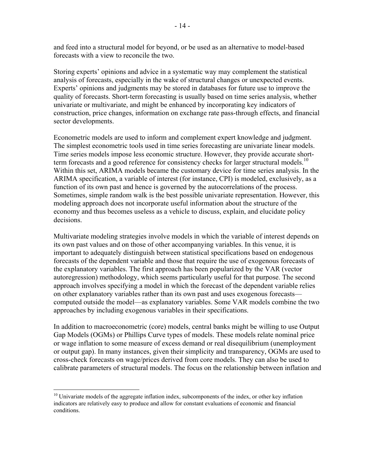and feed into a structural model for beyond, or be used as an alternative to model-based forecasts with a view to reconcile the two.

Storing experts' opinions and advice in a systematic way may complement the statistical analysis of forecasts, especially in the wake of structural changes or unexpected events. Experts' opinions and judgments may be stored in databases for future use to improve the quality of forecasts. Short-term forecasting is usually based on time series analysis, whether univariate or multivariate, and might be enhanced by incorporating key indicators of construction, price changes, information on exchange rate pass-through effects, and financial sector developments.

Econometric models are used to inform and complement expert knowledge and judgment. The simplest econometric tools used in time series forecasting are univariate linear models. Time series models impose less economic structure. However, they provide accurate shortterm forecasts and a good reference for consistency checks for larger structural models.<sup>10</sup> Within this set, ARIMA models became the customary device for time series analysis. In the ARIMA specification, a variable of interest (for instance, CPI) is modeled, exclusively, as a function of its own past and hence is governed by the autocorrelations of the process. Sometimes, simple random walk is the best possible univariate representation. However, this modeling approach does not incorporate useful information about the structure of the economy and thus becomes useless as a vehicle to discuss, explain, and elucidate policy decisions.

Multivariate modeling strategies involve models in which the variable of interest depends on its own past values and on those of other accompanying variables. In this venue, it is important to adequately distinguish between statistical specifications based on endogenous forecasts of the dependent variable and those that require the use of exogenous forecasts of the explanatory variables. The first approach has been popularized by the VAR (vector autoregression) methodology, which seems particularly useful for that purpose. The second approach involves specifying a model in which the forecast of the dependent variable relies on other explanatory variables rather than its own past and uses exogenous forecasts computed outside the model—as explanatory variables. Some VAR models combine the two approaches by including exogenous variables in their specifications.

In addition to macroeconometric (core) models, central banks might be willing to use Output Gap Models (OGMs) or Phillips Curve types of models. These models relate nominal price or wage inflation to some measure of excess demand or real disequilibrium (unemployment or output gap). In many instances, given their simplicity and transparency, OGMs are used to cross-check forecasts on wage/prices derived from core models. They can also be used to calibrate parameters of structural models. The focus on the relationship between inflation and

 $\overline{a}$ 

 $10$  Univariate models of the aggregate inflation index, subcomponents of the index, or other key inflation indicators are relatively easy to produce and allow for constant evaluations of economic and financial conditions.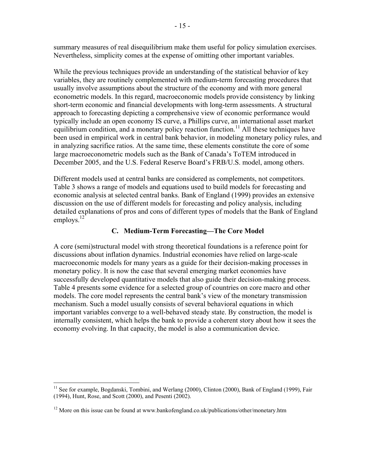summary measures of real disequilibrium make them useful for policy simulation exercises. Nevertheless, simplicity comes at the expense of omitting other important variables.

While the previous techniques provide an understanding of the statistical behavior of key variables, they are routinely complemented with medium-term forecasting procedures that usually involve assumptions about the structure of the economy and with more general econometric models. In this regard, macroeconomic models provide consistency by linking short-term economic and financial developments with long-term assessments. A structural approach to forecasting depicting a comprehensive view of economic performance would typically include an open economy IS curve, a Phillips curve, an international asset market equilibrium condition, and a monetary policy reaction function.<sup>11</sup> All these techniques have been used in empirical work in central bank behavior, in modeling monetary policy rules, and in analyzing sacrifice ratios. At the same time, these elements constitute the core of some large macroeconometric models such as the Bank of Canada's ToTEM introduced in December 2005, and the U.S. Federal Reserve Board's FRB/U.S. model, among others.

Different models used at central banks are considered as complements, not competitors. Table 3 shows a range of models and equations used to build models for forecasting and economic analysis at selected central banks. Bank of England (1999) provides an extensive discussion on the use of different models for forecasting and policy analysis, including detailed explanations of pros and cons of different types of models that the Bank of England employs. $^{12}$ 

# **C. Medium-Term Forecasting—The Core Model**

A core (semi)structural model with strong theoretical foundations is a reference point for discussions about inflation dynamics. Industrial economies have relied on large-scale macroeconomic models for many years as a guide for their decision-making processes in monetary policy. It is now the case that several emerging market economies have successfully developed quantitative models that also guide their decision-making process. Table 4 presents some evidence for a selected group of countries on core macro and other models. The core model represents the central bank's view of the monetary transmission mechanism. Such a model usually consists of several behavioral equations in which important variables converge to a well-behaved steady state. By construction, the model is internally consistent, which helps the bank to provide a coherent story about how it sees the economy evolving. In that capacity, the model is also a communication device.

<u>.</u>

<sup>&</sup>lt;sup>11</sup> See for example, Bogdanski, Tombini, and Werlang (2000), Clinton (2000), Bank of England (1999), Fair (1994), Hunt, Rose, and Scott (2000), and Pesenti (2002).

<sup>&</sup>lt;sup>12</sup> More on this issue can be found at www.bankofengland.co.uk/publications/other/monetary.htm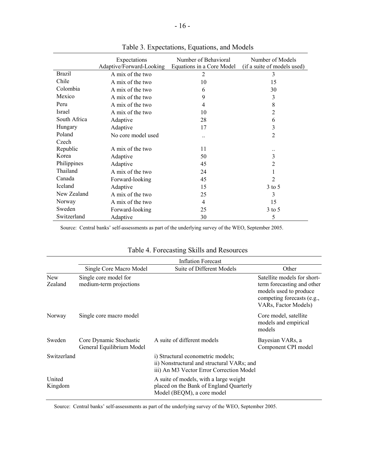|               | Expectations             | Number of Behavioral      | Number of Models            |
|---------------|--------------------------|---------------------------|-----------------------------|
|               | Adaptive/Forward-Looking | Equations in a Core Model | (if a suite of models used) |
| <b>Brazil</b> | A mix of the two         | 2                         | 3                           |
| Chile         | A mix of the two         | 10                        | 15                          |
| Colombia      | A mix of the two         | 6                         | 30                          |
| Mexico        | A mix of the two         | 9                         | 3                           |
| Peru          | A mix of the two         | 4                         | 8                           |
| Israel        | A mix of the two         | 10                        | $\overline{2}$              |
| South Africa  | Adaptive                 | 28                        | 6                           |
| Hungary       | Adaptive                 | 17                        | 3                           |
| Poland        | No core model used       |                           | 2                           |
| Czech         |                          |                           |                             |
| Republic      | A mix of the two         | 11                        |                             |
| Korea         | Adaptive                 | 50                        | 3                           |
| Philippines   | Adaptive                 | 45                        | 2                           |
| Thailand      | A mix of the two         | 24                        | 1                           |
| Canada        | Forward-looking          | 45                        | $\overline{2}$              |
| Iceland       | Adaptive                 | 15                        | $3$ to 5                    |
| New Zealand   | A mix of the two         | 25                        | 3                           |
| Norway        | A mix of the two         | 4                         | 15                          |
| Sweden        | Forward-looking          | 25                        | $3$ to 5                    |
| Switzerland   | Adaptive                 | 30                        | 5                           |

Table 3. Expectations, Equations, and Models

Source: Central banks' self-assessments as part of the underlying survey of the WEO, September 2005.

 $\overline{\phantom{a}}$ 

| Table 4. Forecasting Skills and Resources |  |  |
|-------------------------------------------|--|--|

|                       |                                                      | <b>Inflation Forecast</b>                                                                                                   |                                                                                                                                           |
|-----------------------|------------------------------------------------------|-----------------------------------------------------------------------------------------------------------------------------|-------------------------------------------------------------------------------------------------------------------------------------------|
|                       | Single Core Macro Model                              | Suite of Different Models                                                                                                   | Other                                                                                                                                     |
| <b>New</b><br>Zealand | Single core model for<br>medium-term projections     |                                                                                                                             | Satellite models for short-<br>term forecasting and other<br>models used to produce<br>competing forecasts (e.g.,<br>VARs, Factor Models) |
| Norway                | Single core macro model                              |                                                                                                                             | Core model, satellite<br>models and empirical<br>models                                                                                   |
| Sweden                | Core Dynamic Stochastic<br>General Equilibrium Model | A suite of different models                                                                                                 | Bayesian VARs, a<br>Component CPI model                                                                                                   |
| Switzerland           |                                                      | i) Structural econometric models;<br>ii) Nonstructural and structural VARs; and<br>iii) An M3 Vector Error Correction Model |                                                                                                                                           |
| United<br>Kingdom     |                                                      | A suite of models, with a large weight<br>placed on the Bank of England Quarterly<br>Model (BEQM), a core model             |                                                                                                                                           |

Source: Central banks' self-assessments as part of the underlying survey of the WEO, September 2005.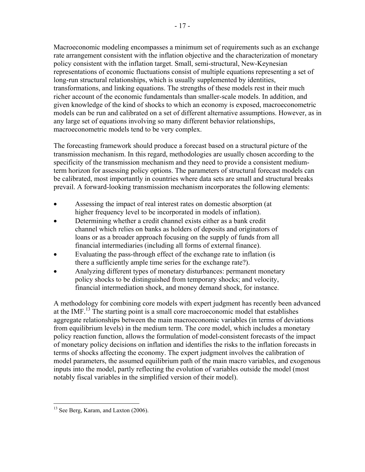Macroeconomic modeling encompasses a minimum set of requirements such as an exchange rate arrangement consistent with the inflation objective and the characterization of monetary policy consistent with the inflation target. Small, semi-structural, New-Keynesian representations of economic fluctuations consist of multiple equations representing a set of long-run structural relationships, which is usually supplemented by identities, transformations, and linking equations. The strengths of these models rest in their much richer account of the economic fundamentals than smaller-scale models. In addition, and given knowledge of the kind of shocks to which an economy is exposed, macroeconometric models can be run and calibrated on a set of different alternative assumptions. However, as in any large set of equations involving so many different behavior relationships, macroeconometric models tend to be very complex.

The forecasting framework should produce a forecast based on a structural picture of the transmission mechanism. In this regard, methodologies are usually chosen according to the specificity of the transmission mechanism and they need to provide a consistent mediumterm horizon for assessing policy options. The parameters of structural forecast models can be calibrated, most importantly in countries where data sets are small and structural breaks prevail. A forward-looking transmission mechanism incorporates the following elements:

- Assessing the impact of real interest rates on domestic absorption (at higher frequency level to be incorporated in models of inflation).
- Determining whether a credit channel exists either as a bank credit channel which relies on banks as holders of deposits and originators of loans or as a broader approach focusing on the supply of funds from all financial intermediaries (including all forms of external finance).
- Evaluating the pass-through effect of the exchange rate to inflation (is there a sufficiently ample time series for the exchange rate?).
- Analyzing different types of monetary disturbances: permanent monetary policy shocks to be distinguished from temporary shocks; and velocity, financial intermediation shock, and money demand shock, for instance.

A methodology for combining core models with expert judgment has recently been advanced at the IMF.13 The starting point is a small core macroeconomic model that establishes aggregate relationships between the main macroeconomic variables (in terms of deviations from equilibrium levels) in the medium term. The core model, which includes a monetary policy reaction function, allows the formulation of model-consistent forecasts of the impact of monetary policy decisions on inflation and identifies the risks to the inflation forecasts in terms of shocks affecting the economy. The expert judgment involves the calibration of model parameters, the assumed equilibrium path of the main macro variables, and exogenous inputs into the model, partly reflecting the evolution of variables outside the model (most notably fiscal variables in the simplified version of their model).

 $\overline{a}$ <sup>13</sup> See Berg, Karam, and Laxton (2006).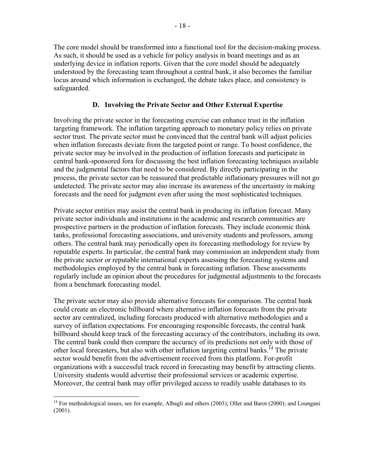The core model should be transformed into a functional tool for the decision-making process. As such, it should be used as a vehicle for policy analysis in board meetings and as an underlying device in inflation reports. Given that the core model should be adequately understood by the forecasting team throughout a central bank, it also becomes the familiar locus around which information is exchanged, the debate takes place, and consistency is safeguarded.

## **D. Involving the Private Sector and Other External Expertise**

Involving the private sector in the forecasting exercise can enhance trust in the inflation targeting framework. The inflation targeting approach to monetary policy relies on private sector trust. The private sector must be convinced that the central bank will adjust policies when inflation forecasts deviate from the targeted point or range. To boost confidence, the private sector may be involved in the production of inflation forecasts and participate in central bank-sponsored fora for discussing the best inflation forecasting techniques available and the judgmental factors that need to be considered. By directly participating in the process, the private sector can be reassured that predictable inflationary pressures will not go undetected. The private sector may also increase its awareness of the uncertainty in making forecasts and the need for judgment even after using the most sophisticated techniques.

Private sector entities may assist the central bank in producing its inflation forecast. Many private sector individuals and institutions in the academic and research communities are prospective partners in the production of inflation forecasts. They include economic think tanks, professional forecasting associations, and university students and professors, among others. The central bank may periodically open its forecasting methodology for review by reputable experts. In particular, the central bank may commission an independent study from the private sector or reputable international experts assessing the forecasting systems and methodologies employed by the central bank in forecasting inflation. These assessments regularly include an opinion about the procedures for judgmental adjustments to the forecasts from a benchmark forecasting model.

The private sector may also provide alternative forecasts for comparison. The central bank could create an electronic billboard where alternative inflation forecasts from the private sector are centralized, including forecasts produced with alternative methodologies and a survey of inflation expectations. For encouraging responsible forecasts, the central bank billboard should keep track of the forecasting accuracy of the contributors, including its own. The central bank could then compare the accuracy of its predictions not only with those of other local forecasters, but also with other inflation targeting central banks.<sup>14</sup> The private sector would benefit from the advertisement received from this platform. For-profit organizations with a successful track record in forecasting may benefit by attracting clients. University students would advertise their professional services or academic expertise. Moreover, the central bank may offer privileged access to readily usable databases to its

<sup>1</sup> <sup>14</sup> For methodological issues, see for example, Albagli and others (2003); Oller and Barot (2000); and Loungani (2001).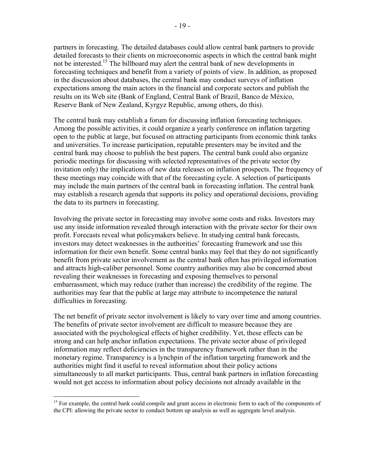partners in forecasting. The detailed databases could allow central bank partners to provide detailed forecasts to their clients on microeconomic aspects in which the central bank might not be interested.<sup>15</sup> The billboard may alert the central bank of new developments in forecasting techniques and benefit from a variety of points of view. In addition, as proposed in the discussion about databases, the central bank may conduct surveys of inflation expectations among the main actors in the financial and corporate sectors and publish the results on its Web site (Bank of England, Central Bank of Brazil, Banco de México, Reserve Bank of New Zealand, Kyrgyz Republic, among others, do this).

The central bank may establish a forum for discussing inflation forecasting techniques. Among the possible activities, it could organize a yearly conference on inflation targeting open to the public at large, but focused on attracting participants from economic think tanks and universities. To increase participation, reputable presenters may be invited and the central bank may choose to publish the best papers. The central bank could also organize periodic meetings for discussing with selected representatives of the private sector (by invitation only) the implications of new data releases on inflation prospects. The frequency of these meetings may coincide with that of the forecasting cycle. A selection of participants may include the main partners of the central bank in forecasting inflation. The central bank may establish a research agenda that supports its policy and operational decisions, providing the data to its partners in forecasting.

Involving the private sector in forecasting may involve some costs and risks. Investors may use any inside information revealed through interaction with the private sector for their own profit. Forecasts reveal what policymakers believe. In studying central bank forecasts, investors may detect weaknesses in the authorities' forecasting framework and use this information for their own benefit. Some central banks may feel that they do not significantly benefit from private sector involvement as the central bank often has privileged information and attracts high-caliber personnel. Some country authorities may also be concerned about revealing their weaknesses in forecasting and exposing themselves to personal embarrassment, which may reduce (rather than increase) the credibility of the regime. The authorities may fear that the public at large may attribute to incompetence the natural difficulties in forecasting.

The net benefit of private sector involvement is likely to vary over time and among countries. The benefits of private sector involvement are difficult to measure because they are associated with the psychological effects of higher credibility. Yet, these effects can be strong and can help anchor inflation expectations. The private sector abuse of privileged information may reflect deficiencies in the transparency framework rather than in the monetary regime. Transparency is a lynchpin of the inflation targeting framework and the authorities might find it useful to reveal information about their policy actions simultaneously to all market participants. Thus, central bank partners in inflation forecasting would not get access to information about policy decisions not already available in the

 $\overline{a}$ 

<sup>&</sup>lt;sup>15</sup> For example, the central bank could compile and grant access in electronic form to each of the components of the CPI: allowing the private sector to conduct bottom up analysis as well as aggregate level analysis.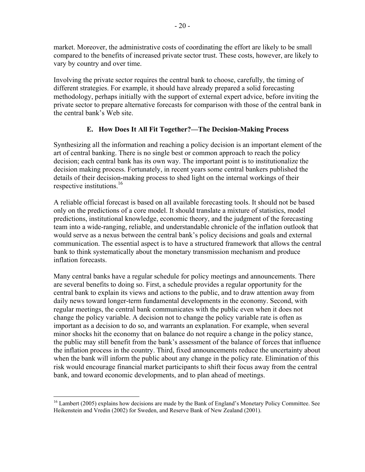market. Moreover, the administrative costs of coordinating the effort are likely to be small compared to the benefits of increased private sector trust. These costs, however, are likely to vary by country and over time.

Involving the private sector requires the central bank to choose, carefully, the timing of different strategies. For example, it should have already prepared a solid forecasting methodology, perhaps initially with the support of external expert advice, before inviting the private sector to prepare alternative forecasts for comparison with those of the central bank in the central bank's Web site.

# **E. How Does It All Fit Together?—The Decision-Making Process**

Synthesizing all the information and reaching a policy decision is an important element of the art of central banking. There is no single best or common approach to reach the policy decision; each central bank has its own way. The important point is to institutionalize the decision making process. Fortunately, in recent years some central bankers published the details of their decision-making process to shed light on the internal workings of their respective institutions.<sup>16</sup>

A reliable official forecast is based on all available forecasting tools. It should not be based only on the predictions of a core model. It should translate a mixture of statistics, model predictions, institutional knowledge, economic theory, and the judgment of the forecasting team into a wide-ranging, reliable, and understandable chronicle of the inflation outlook that would serve as a nexus between the central bank's policy decisions and goals and external communication. The essential aspect is to have a structured framework that allows the central bank to think systematically about the monetary transmission mechanism and produce inflation forecasts.

Many central banks have a regular schedule for policy meetings and announcements. There are several benefits to doing so. First, a schedule provides a regular opportunity for the central bank to explain its views and actions to the public, and to draw attention away from daily news toward longer-term fundamental developments in the economy. Second, with regular meetings, the central bank communicates with the public even when it does not change the policy variable. A decision not to change the policy variable rate is often as important as a decision to do so, and warrants an explanation. For example, when several minor shocks hit the economy that on balance do not require a change in the policy stance, the public may still benefit from the bank's assessment of the balance of forces that influence the inflation process in the country. Third, fixed announcements reduce the uncertainty about when the bank will inform the public about any change in the policy rate. Elimination of this risk would encourage financial market participants to shift their focus away from the central bank, and toward economic developments, and to plan ahead of meetings.

 $\overline{a}$ <sup>16</sup> Lambert (2005) explains how decisions are made by the Bank of England's Monetary Policy Committee. See Heikenstein and Vredin (2002) for Sweden, and Reserve Bank of New Zealand (2001).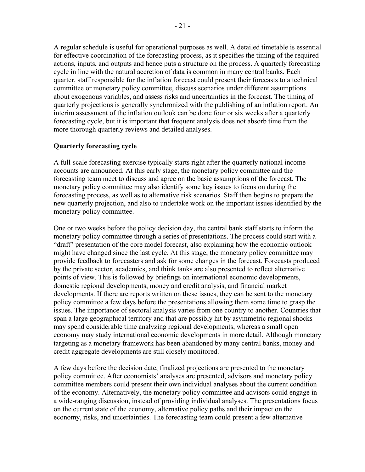A regular schedule is useful for operational purposes as well. A detailed timetable is essential for effective coordination of the forecasting process, as it specifies the timing of the required actions, inputs, and outputs and hence puts a structure on the process. A quarterly forecasting cycle in line with the natural accretion of data is common in many central banks. Each quarter, staff responsible for the inflation forecast could present their forecasts to a technical committee or monetary policy committee, discuss scenarios under different assumptions about exogenous variables, and assess risks and uncertainties in the forecast. The timing of quarterly projections is generally synchronized with the publishing of an inflation report. An interim assessment of the inflation outlook can be done four or six weeks after a quarterly forecasting cycle, but it is important that frequent analysis does not absorb time from the more thorough quarterly reviews and detailed analyses.

# **Quarterly forecasting cycle**

A full-scale forecasting exercise typically starts right after the quarterly national income accounts are announced. At this early stage, the monetary policy committee and the forecasting team meet to discuss and agree on the basic assumptions of the forecast. The monetary policy committee may also identify some key issues to focus on during the forecasting process, as well as to alternative risk scenarios. Staff then begins to prepare the new quarterly projection, and also to undertake work on the important issues identified by the monetary policy committee.

One or two weeks before the policy decision day, the central bank staff starts to inform the monetary policy committee through a series of presentations. The process could start with a "draft" presentation of the core model forecast, also explaining how the economic outlook might have changed since the last cycle. At this stage, the monetary policy committee may provide feedback to forecasters and ask for some changes in the forecast. Forecasts produced by the private sector, academics, and think tanks are also presented to reflect alternative points of view. This is followed by briefings on international economic developments, domestic regional developments, money and credit analysis, and financial market developments. If there are reports written on these issues, they can be sent to the monetary policy committee a few days before the presentations allowing them some time to grasp the issues. The importance of sectoral analysis varies from one country to another. Countries that span a large geographical territory and that are possibly hit by asymmetric regional shocks may spend considerable time analyzing regional developments, whereas a small open economy may study international economic developments in more detail. Although monetary targeting as a monetary framework has been abandoned by many central banks, money and credit aggregate developments are still closely monitored.

A few days before the decision date, finalized projections are presented to the monetary policy committee. After economists' analyses are presented, advisors and monetary policy committee members could present their own individual analyses about the current condition of the economy. Alternatively, the monetary policy committee and advisors could engage in a wide-ranging discussion, instead of providing individual analyses. The presentations focus on the current state of the economy, alternative policy paths and their impact on the economy, risks, and uncertainties. The forecasting team could present a few alternative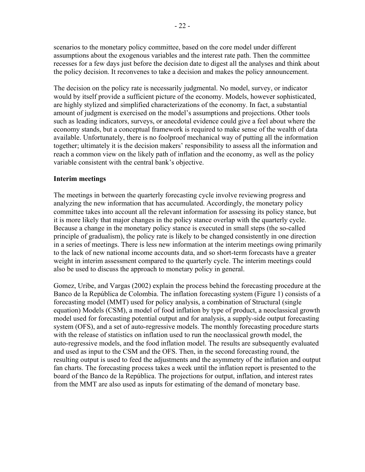scenarios to the monetary policy committee, based on the core model under different assumptions about the exogenous variables and the interest rate path. Then the committee recesses for a few days just before the decision date to digest all the analyses and think about the policy decision. It reconvenes to take a decision and makes the policy announcement.

The decision on the policy rate is necessarily judgmental. No model, survey, or indicator would by itself provide a sufficient picture of the economy. Models, however sophisticated, are highly stylized and simplified characterizations of the economy. In fact, a substantial amount of judgment is exercised on the model's assumptions and projections. Other tools such as leading indicators, surveys, or anecdotal evidence could give a feel about where the economy stands, but a conceptual framework is required to make sense of the wealth of data available. Unfortunately, there is no foolproof mechanical way of putting all the information together; ultimately it is the decision makers' responsibility to assess all the information and reach a common view on the likely path of inflation and the economy, as well as the policy variable consistent with the central bank's objective.

#### **Interim meetings**

The meetings in between the quarterly forecasting cycle involve reviewing progress and analyzing the new information that has accumulated. Accordingly, the monetary policy committee takes into account all the relevant information for assessing its policy stance, but it is more likely that major changes in the policy stance overlap with the quarterly cycle. Because a change in the monetary policy stance is executed in small steps (the so-called principle of gradualism), the policy rate is likely to be changed consistently in one direction in a series of meetings. There is less new information at the interim meetings owing primarily to the lack of new national income accounts data, and so short-term forecasts have a greater weight in interim assessment compared to the quarterly cycle. The interim meetings could also be used to discuss the approach to monetary policy in general.

Gomez, Uribe, and Vargas (2002) explain the process behind the forecasting procedure at the Banco de la República de Colombia. The inflation forecasting system (Figure 1) consists of a forecasting model (MMT) used for policy analysis, a combination of Structural (single equation) Models (CSM), a model of food inflation by type of product, a neoclassical growth model used for forecasting potential output and for analysis, a supply-side output forecasting system (OFS), and a set of auto-regressive models. The monthly forecasting procedure starts with the release of statistics on inflation used to run the neoclassical growth model, the auto-regressive models, and the food inflation model. The results are subsequently evaluated and used as input to the CSM and the OFS. Then, in the second forecasting round, the resulting output is used to feed the adjustments and the asymmetry of the inflation and output fan charts. The forecasting process takes a week until the inflation report is presented to the board of the Banco de la República. The projections for output, inflation, and interest rates from the MMT are also used as inputs for estimating of the demand of monetary base.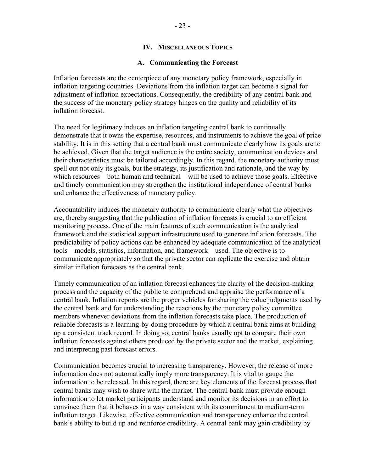## **IV. MISCELLANEOUS TOPICS**

#### **A. Communicating the Forecast**

Inflation forecasts are the centerpiece of any monetary policy framework, especially in inflation targeting countries. Deviations from the inflation target can become a signal for adjustment of inflation expectations. Consequently, the credibility of any central bank and the success of the monetary policy strategy hinges on the quality and reliability of its inflation forecast.

The need for legitimacy induces an inflation targeting central bank to continually demonstrate that it owns the expertise, resources, and instruments to achieve the goal of price stability. It is in this setting that a central bank must communicate clearly how its goals are to be achieved. Given that the target audience is the entire society, communication devices and their characteristics must be tailored accordingly. In this regard, the monetary authority must spell out not only its goals, but the strategy, its justification and rationale, and the way by which resources—both human and technical—will be used to achieve those goals. Effective and timely communication may strengthen the institutional independence of central banks and enhance the effectiveness of monetary policy.

Accountability induces the monetary authority to communicate clearly what the objectives are, thereby suggesting that the publication of inflation forecasts is crucial to an efficient monitoring process. One of the main features of such communication is the analytical framework and the statistical support infrastructure used to generate inflation forecasts. The predictability of policy actions can be enhanced by adequate communication of the analytical tools—models, statistics, information, and framework—used. The objective is to communicate appropriately so that the private sector can replicate the exercise and obtain similar inflation forecasts as the central bank.

Timely communication of an inflation forecast enhances the clarity of the decision-making process and the capacity of the public to comprehend and appraise the performance of a central bank. Inflation reports are the proper vehicles for sharing the value judgments used by the central bank and for understanding the reactions by the monetary policy committee members whenever deviations from the inflation forecasts take place. The production of reliable forecasts is a learning-by-doing procedure by which a central bank aims at building up a consistent track record. In doing so, central banks usually opt to compare their own inflation forecasts against others produced by the private sector and the market, explaining and interpreting past forecast errors.

Communication becomes crucial to increasing transparency. However, the release of more information does not automatically imply more transparency. It is vital to gauge the information to be released. In this regard, there are key elements of the forecast process that central banks may wish to share with the market. The central bank must provide enough information to let market participants understand and monitor its decisions in an effort to convince them that it behaves in a way consistent with its commitment to medium-term inflation target. Likewise, effective communication and transparency enhance the central bank's ability to build up and reinforce credibility. A central bank may gain credibility by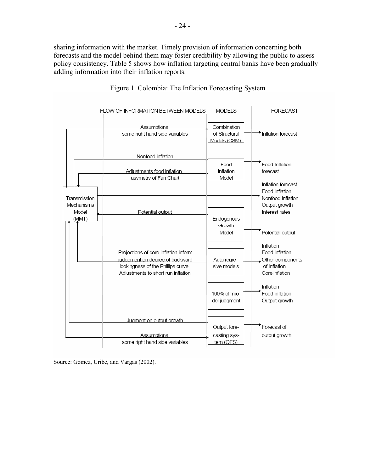sharing information with the market. Timely provision of information concerning both forecasts and the model behind them may foster credibility by allowing the public to assess policy consistency. Table 5 shows how inflation targeting central banks have been gradually adding information into their inflation reports.





Source: Gomez, Uribe, and Vargas (2002).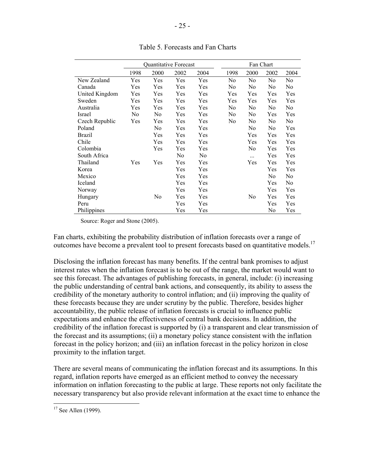|                |      | Quantitative Forecast |      |                |                | Fan Chart |      |                |
|----------------|------|-----------------------|------|----------------|----------------|-----------|------|----------------|
|                | 1998 | 2000                  | 2002 | 2004           | 1998           | 2000      | 2002 | 2004           |
| New Zealand    | Yes  | Yes                   | Yes  | Yes            | No             | No        | No   | No             |
| Canada         | Yes  | Yes                   | Yes  | Yes            | No             | No        | No   | N <sub>0</sub> |
| United Kingdom | Yes  | Yes                   | Yes  | Yes            | Yes            | Yes       | Yes  | Yes            |
| Sweden         | Yes  | Yes                   | Yes  | Yes            | Yes            | Yes       | Yes  | Yes            |
| Australia      | Yes  | Yes                   | Yes  | Yes            | No             | No        | No   | No.            |
| Israel         | No   | No                    | Yes  | Yes            | N <sub>0</sub> | No        | Yes  | Yes            |
| Czech Republic | Yes  | Yes                   | Yes  | Yes            | No             | No        | No   | No             |
| Poland         |      | N <sub>0</sub>        | Yes  | Yes            |                | No        | No   | Yes            |
| <b>Brazil</b>  |      | Yes                   | Yes  | Yes            |                | Yes       | Yes  | Yes            |
| Chile          |      | Yes                   | Yes  | Yes            |                | Yes       | Yes  | Yes            |
| Colombia       |      | Yes                   | Yes  | Yes            |                | No        | Yes  | Yes            |
| South Africa   |      |                       | No   | N <sub>0</sub> |                | .         | Yes  | Yes            |
| Thailand       | Yes  | Yes                   | Yes  | Yes            |                | Yes       | Yes  | Yes            |
| Korea          |      |                       | Yes  | Yes            |                |           | Yes  | Yes            |
| Mexico         |      |                       | Yes  | Yes            |                |           | No   | N <sub>0</sub> |
| Iceland        |      |                       | Yes  | Yes            |                |           | Yes  | No             |
| Norway         |      |                       | Yes  | Yes            |                |           | Yes  | Yes            |
| Hungary        |      | No                    | Yes  | Yes            |                | No        | Yes  | Yes            |
| Peru           |      |                       | Yes  | Yes            |                |           | Yes  | Yes            |
| Philippines    |      |                       | Yes  | Yes            |                |           | No   | Yes            |

Table 5. Forecasts and Fan Charts

Source: Roger and Stone (2005).

Fan charts, exhibiting the probability distribution of inflation forecasts over a range of outcomes have become a prevalent tool to present forecasts based on quantitative models.17

Disclosing the inflation forecast has many benefits. If the central bank promises to adjust interest rates when the inflation forecast is to be out of the range, the market would want to see this forecast. The advantages of publishing forecasts, in general, include: (i) increasing the public understanding of central bank actions, and consequently, its ability to assess the credibility of the monetary authority to control inflation; and (ii) improving the quality of these forecasts because they are under scrutiny by the public. Therefore, besides higher accountability, the public release of inflation forecasts is crucial to influence public expectations and enhance the effectiveness of central bank decisions. In addition, the credibility of the inflation forecast is supported by (i) a transparent and clear transmission of the forecast and its assumptions; (ii) a monetary policy stance consistent with the inflation forecast in the policy horizon; and (iii) an inflation forecast in the policy horizon in close proximity to the inflation target.

There are several means of communicating the inflation forecast and its assumptions. In this regard, inflation reports have emerged as an efficient method to convey the necessary information on inflation forecasting to the public at large. These reports not only facilitate the necessary transparency but also provide relevant information at the exact time to enhance the

<sup>1</sup>  $17$  See Allen (1999).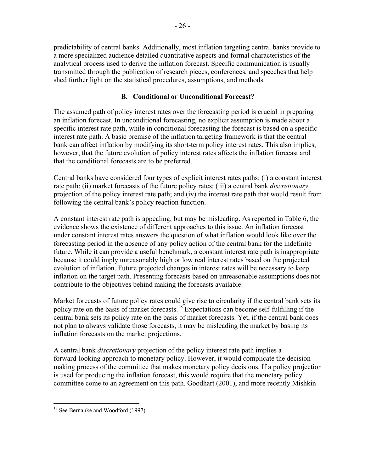predictability of central banks. Additionally, most inflation targeting central banks provide to a more specialized audience detailed quantitative aspects and formal characteristics of the analytical process used to derive the inflation forecast. Specific communication is usually transmitted through the publication of research pieces, conferences, and speeches that help shed further light on the statistical procedures, assumptions, and methods.

# **B. Conditional or Unconditional Forecast?**

The assumed path of policy interest rates over the forecasting period is crucial in preparing an inflation forecast. In unconditional forecasting, no explicit assumption is made about a specific interest rate path, while in conditional forecasting the forecast is based on a specific interest rate path. A basic premise of the inflation targeting framework is that the central bank can affect inflation by modifying its short-term policy interest rates. This also implies, however, that the future evolution of policy interest rates affects the inflation forecast and that the conditional forecasts are to be preferred.

Central banks have considered four types of explicit interest rates paths: (i) a constant interest rate path; (ii) market forecasts of the future policy rates; (iii) a central bank *discretionary* projection of the policy interest rate path; and (iv) the interest rate path that would result from following the central bank's policy reaction function.

A constant interest rate path is appealing, but may be misleading. As reported in Table 6, the evidence shows the existence of different approaches to this issue. An inflation forecast under constant interest rates answers the question of what inflation would look like over the forecasting period in the absence of any policy action of the central bank for the indefinite future. While it can provide a useful benchmark, a constant interest rate path is inappropriate because it could imply unreasonably high or low real interest rates based on the projected evolution of inflation. Future projected changes in interest rates will be necessary to keep inflation on the target path. Presenting forecasts based on unreasonable assumptions does not contribute to the objectives behind making the forecasts available.

Market forecasts of future policy rates could give rise to circularity if the central bank sets its policy rate on the basis of market forecasts.<sup>18</sup> Expectations can become self-fulfilling if the central bank sets its policy rate on the basis of market forecasts. Yet, if the central bank does not plan to always validate those forecasts, it may be misleading the market by basing its inflation forecasts on the market projections.

A central bank *discretionary* projection of the policy interest rate path implies a forward-looking approach to monetary policy. However, it would complicate the decisionmaking process of the committee that makes monetary policy decisions. If a policy projection is used for producing the inflation forecast, this would require that the monetary policy committee come to an agreement on this path. Goodhart (2001), and more recently Mishkin

 $\overline{a}$ <sup>18</sup> See Bernanke and Woodford (1997).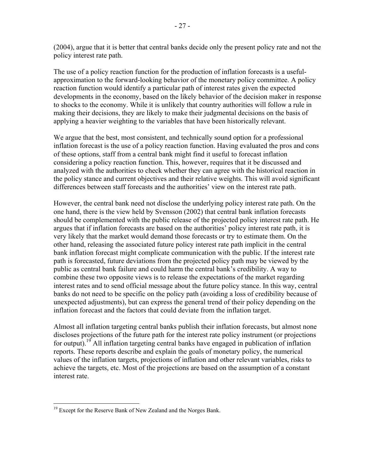(2004), argue that it is better that central banks decide only the present policy rate and not the policy interest rate path.

The use of a policy reaction function for the production of inflation forecasts is a usefulapproximation to the forward-looking behavior of the monetary policy committee. A policy reaction function would identify a particular path of interest rates given the expected developments in the economy, based on the likely behavior of the decision maker in response to shocks to the economy. While it is unlikely that country authorities will follow a rule in making their decisions, they are likely to make their judgmental decisions on the basis of applying a heavier weighting to the variables that have been historically relevant.

We argue that the best, most consistent, and technically sound option for a professional inflation forecast is the use of a policy reaction function. Having evaluated the pros and cons of these options, staff from a central bank might find it useful to forecast inflation considering a policy reaction function. This, however, requires that it be discussed and analyzed with the authorities to check whether they can agree with the historical reaction in the policy stance and current objectives and their relative weights. This will avoid significant differences between staff forecasts and the authorities' view on the interest rate path.

However, the central bank need not disclose the underlying policy interest rate path. On the one hand, there is the view held by Svensson (2002) that central bank inflation forecasts should be complemented with the public release of the projected policy interest rate path. He argues that if inflation forecasts are based on the authorities' policy interest rate path, it is very likely that the market would demand those forecasts or try to estimate them. On the other hand, releasing the associated future policy interest rate path implicit in the central bank inflation forecast might complicate communication with the public. If the interest rate path is forecasted, future deviations from the projected policy path may be viewed by the public as central bank failure and could harm the central bank's credibility. A way to combine these two opposite views is to release the expectations of the market regarding interest rates and to send official message about the future policy stance. In this way, central banks do not need to be specific on the policy path (avoiding a loss of credibility because of unexpected adjustments), but can express the general trend of their policy depending on the inflation forecast and the factors that could deviate from the inflation target.

Almost all inflation targeting central banks publish their inflation forecasts, but almost none discloses projections of the future path for the interest rate policy instrument (or projections for output).<sup>19</sup> All inflation targeting central banks have engaged in publication of inflation reports. These reports describe and explain the goals of monetary policy, the numerical values of the inflation targets, projections of inflation and other relevant variables, risks to achieve the targets, etc. Most of the projections are based on the assumption of a constant interest rate.

 $\overline{a}$ <sup>19</sup> Except for the Reserve Bank of New Zealand and the Norges Bank.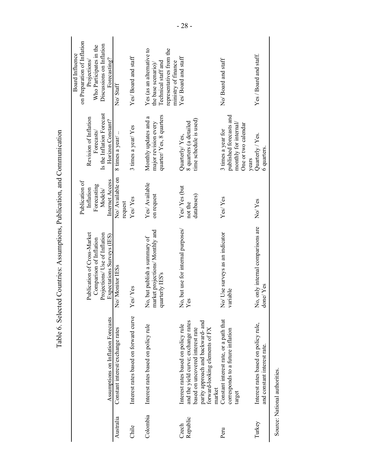| Constant interest rate, or a path that<br>and the yield curve; exchange rates<br>parity approach and backward- and<br>Interest rates based on policy rule<br>Interest rates based on policy rule<br>based on uncovered interest rate<br>forward-looking elements of FX<br>corresponds to a future inflation<br>market<br>target<br>Colombia<br>Republic<br>Czech<br>Peru | variable<br>Yes<br>Interest rates based on forward curve<br>Assumptions on Inflation Forecasts<br>Constant interest/exchange rates | No, but use for internal purposes/<br>market projections/ Monthly and<br>Publication of Cross-Market<br>No/ Use surveys as an indicator<br>Projections/ Use of Inflation<br>Expectations Surveys (IES)<br>No, but publish a summary of<br>Comparison of Inflation<br>No/ Monitor IESs<br>quarterly IES's<br>Yes/Yes | No/Available on<br>Internet Access<br>Publication of<br>Yes/ Available<br>Forecasting<br>Yes/Yes (but<br>Inflation<br>Models/<br>on request<br>databases)<br>Yes/Yes<br>${\rm Yes}$ Yes<br>not the<br>request | Is the Inflation Forecast<br>quarter/Yes, 8 quarters<br>published forecasts and<br>Monthly updates and a<br>Revision of Inflation<br>time schedule is used)<br>Horizon Constant?<br>8 quarters (a detailed<br>major revision every<br>monthly for internal/<br>One or two calendar<br>3 times a year/Yes<br>3 times a year for<br>Forecasts<br>8 times a year/<br>Quarterly/Yes,<br>years | on Preparation of Inflation<br>Discussions on Inflation<br>Who Participates in the<br>representatives from the<br>Yes (as an alternative to<br>Board Influence<br>Yes/ Board and staff<br>Yes/ Board and staff<br>Forecasting?<br>No/Board and staff<br>Projections<br>ministry of finance<br>Technical staff and<br>the base scenario)<br>No⁄ Staff |
|--------------------------------------------------------------------------------------------------------------------------------------------------------------------------------------------------------------------------------------------------------------------------------------------------------------------------------------------------------------------------|------------------------------------------------------------------------------------------------------------------------------------|---------------------------------------------------------------------------------------------------------------------------------------------------------------------------------------------------------------------------------------------------------------------------------------------------------------------|---------------------------------------------------------------------------------------------------------------------------------------------------------------------------------------------------------------|-------------------------------------------------------------------------------------------------------------------------------------------------------------------------------------------------------------------------------------------------------------------------------------------------------------------------------------------------------------------------------------------|------------------------------------------------------------------------------------------------------------------------------------------------------------------------------------------------------------------------------------------------------------------------------------------------------------------------------------------------------|
| Interest rates based on policy rule,<br>and constant interest rate.<br>Turkey                                                                                                                                                                                                                                                                                            |                                                                                                                                    | No, only internal comparisons are<br>done/Yes                                                                                                                                                                                                                                                                       | No/Yes                                                                                                                                                                                                        | Quarterly / Yes.<br>6 quarters.                                                                                                                                                                                                                                                                                                                                                           | Yes / Board and staff.                                                                                                                                                                                                                                                                                                                               |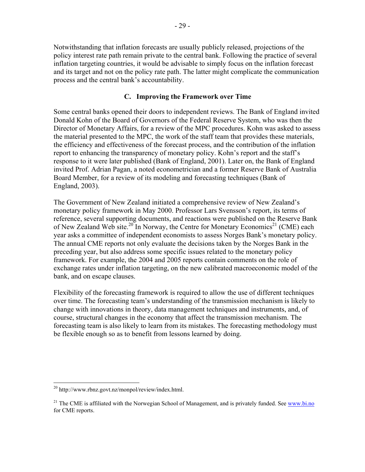Notwithstanding that inflation forecasts are usually publicly released, projections of the policy interest rate path remain private to the central bank. Following the practice of several inflation targeting countries, it would be advisable to simply focus on the inflation forecast and its target and not on the policy rate path. The latter might complicate the communication process and the central bank's accountability.

## **C. Improving the Framework over Time**

Some central banks opened their doors to independent reviews. The Bank of England invited Donald Kohn of the Board of Governors of the Federal Reserve System, who was then the Director of Monetary Affairs, for a review of the MPC procedures. Kohn was asked to assess the material presented to the MPC, the work of the staff team that provides these materials, the efficiency and effectiveness of the forecast process, and the contribution of the inflation report to enhancing the transparency of monetary policy. Kohn's report and the staff's response to it were later published (Bank of England, 2001). Later on, the Bank of England invited Prof. Adrian Pagan, a noted econometrician and a former Reserve Bank of Australia Board Member, for a review of its modeling and forecasting techniques (Bank of England, 2003).

The Government of New Zealand initiated a comprehensive review of New Zealand's monetary policy framework in May 2000. Professor Lars Svensson's report, its terms of reference, several supporting documents, and reactions were published on the Reserve Bank of New Zealand Web site.<sup>20</sup> In Norway, the Centre for Monetary Economics<sup>21</sup> (CME) each year asks a committee of independent economists to assess Norges Bank's monetary policy. The annual CME reports not only evaluate the decisions taken by the Norges Bank in the preceding year, but also address some specific issues related to the monetary policy framework. For example, the 2004 and 2005 reports contain comments on the role of exchange rates under inflation targeting, on the new calibrated macroeconomic model of the bank, and on escape clauses.

Flexibility of the forecasting framework is required to allow the use of different techniques over time. The forecasting team's understanding of the transmission mechanism is likely to change with innovations in theory, data management techniques and instruments, and, of course, structural changes in the economy that affect the transmission mechanism. The forecasting team is also likely to learn from its mistakes. The forecasting methodology must be flexible enough so as to benefit from lessons learned by doing.

<u>.</u>

<sup>20</sup> [http://www.rbnz.govt.nz/monpol/review/index.html.](http://www.rbnz.govt.nz/monpol/review/index.html) 

<sup>&</sup>lt;sup>21</sup> The CME is affiliated with the Norwegian School of Management, and is privately funded. See www.bi.no for CME reports.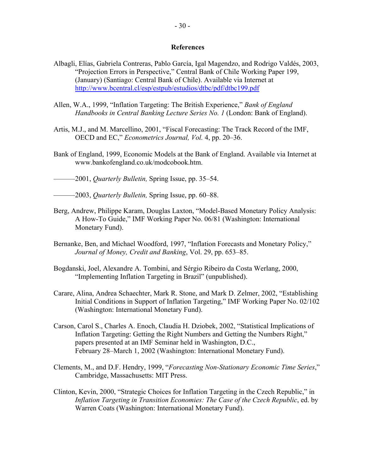#### **References**

- Albagli, Elías, Gabriela Contreras, Pablo García, Igal Magendzo, and Rodrigo Valdés, 2003, "Projection Errors in Perspective," Central Bank of Chile Working Paper 199, (January) (Santiago: Central Bank of Chile). Available via Internet at <http://www.bcentral.cl/esp/estpub/estudios/dtbc/pdf/dtbc199.pdf>
- Allen, W.A., 1999, "Inflation Targeting: The British Experience," *Bank of England Handbooks in Central Banking Lecture Series No. 1* (London: Bank of England).
- Artis, M.J., and M. Marcellino, 2001, "Fiscal Forecasting: The Track Record of the IMF, OECD and EC," *Econometrics Journal, Vol.* 4, pp. 20–36.
- Bank of England, 1999, Economic Models at the Bank of England. Available via Internet at www.bankofengland.co.uk/modcobook.htm.
- ———2001, *Quarterly Bulletin,* Spring Issue, pp. 35–54.
- ———2003, *Quarterly Bulletin,* Spring Issue, pp. 60–88.
- Berg, Andrew, Philippe Karam, Douglas Laxton, "Model-Based Monetary Policy Analysis: A How-To Guide," IMF Working Paper No. 06/81 (Washington: International Monetary Fund).
- Bernanke, Ben, and Michael Woodford, 1997, "Inflation Forecasts and Monetary Policy," *Journal of Money, Credit and Banking*, Vol. 29, pp. 653–85.
- Bogdanski, Joel, Alexandre A. Tombini, and Sérgio Ribeiro da Costa Werlang, 2000, "Implementing Inflation Targeting in Brazil" (unpublished).
- Carare, Alina, Andrea Schaechter, Mark R. Stone, and Mark D. Zelmer, 2002, "Establishing Initial Conditions in Support of Inflation Targeting," IMF Working Paper No. 02/102 (Washington: International Monetary Fund).
- Carson, Carol S., Charles A. Enoch, Claudia H. Dziobek, 2002, "Statistical Implications of Inflation Targeting: Getting the Right Numbers and Getting the Numbers Right," papers presented at an IMF Seminar held in Washington, D.C., February 28–March 1, 2002 (Washington: International Monetary Fund).
- Clements, M., and D.F. Hendry, 1999, "*Forecasting Non-Stationary Economic Time Series*," Cambridge, Massachusetts: MIT Press.
- Clinton, Kevin, 2000, "Strategic Choices for Inflation Targeting in the Czech Republic," in *Inflation Targeting in Transition Economies: The Case of the Czech Republic*, ed. by Warren Coats (Washington: International Monetary Fund).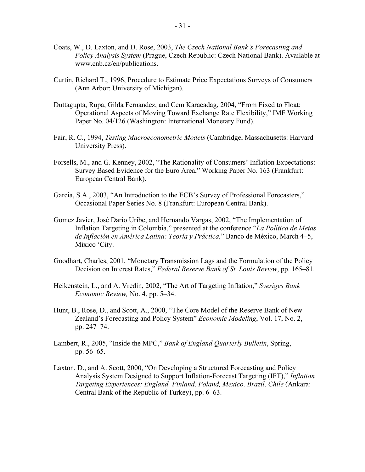- Coats, W., D. Laxton, and D. Rose, 2003, *The Czech National Bank's Forecasting and Policy Analysis System* (Prague, Czech Republic: Czech National Bank). Available at www.cnb.cz/en/publications.
- Curtin, Richard T., 1996, Procedure to Estimate Price Expectations Surveys of Consumers (Ann Arbor: University of Michigan).
- Duttagupta, Rupa, Gilda Fernandez, and Cem Karacadag, 2004, "From Fixed to Float: Operational Aspects of Moving Toward Exchange Rate Flexibility," IMF Working Paper No. 04/126 (Washington: International Monetary Fund).
- Fair, R. C., 1994, *Testing Macroeconometric Models* (Cambridge, Massachusetts: Harvard University Press).
- Forsells, M., and G. Kenney, 2002, "The Rationality of Consumers' Inflation Expectations: Survey Based Evidence for the Euro Area," Working Paper No. 163 (Frankfurt: European Central Bank).
- Garcia, S.A., 2003, "An Introduction to the ECB's Survey of Professional Forecasters," Occasional Paper Series No. 8 (Frankfurt: European Central Bank).
- Gomez Javier, José Darío Uribe, and Hernando Vargas, 2002, "The Implementation of Inflation Targeting in Colombia," presented at the conference "*La Política de Metas de Inflación en América Latina: Teoría y Práctica,*" Banco de México, March 4–5, Mixico 'City.
- Goodhart, Charles, 2001, "Monetary Transmission Lags and the Formulation of the Policy Decision on Interest Rates," *Federal Reserve Bank of St. Louis Review*, pp. 165–81.
- Heikenstein, L., and A. Vredin, 2002, "The Art of Targeting Inflation," *Sveriges Bank Economic Review,* No. 4, pp. 5–34.
- Hunt, B., Rose, D., and Scott, A., 2000, "The Core Model of the Reserve Bank of New Zealand's Forecasting and Policy System" *Economic Modeling*, Vol. 17, No. 2, pp. 247–74.
- Lambert, R., 2005, "Inside the MPC," *Bank of England Quarterly Bulletin*, Spring, pp. 56–65.
- Laxton, D., and A. Scott, 2000, "On Developing a Structured Forecasting and Policy Analysis System Designed to Support Inflation-Forecast Targeting (IFT)," *Inflation Targeting Experiences: England, Finland, Poland, Mexico, Brazil, Chile* (Ankara: Central Bank of the Republic of Turkey), pp. 6–63.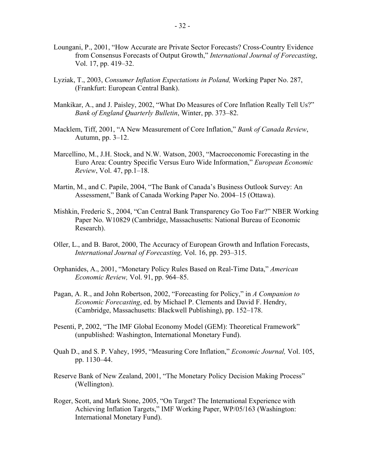- Loungani, P., 2001, "How Accurate are Private Sector Forecasts? Cross-Country Evidence from Consensus Forecasts of Output Growth," *International Journal of Forecasting*, Vol. 17, pp. 419–32.
- Lyziak, T., 2003, *Consumer Inflation Expectations in Poland,* Working Paper No. 287, (Frankfurt: European Central Bank).
- Mankikar, A., and J. Paisley, 2002, "What Do Measures of Core Inflation Really Tell Us?" *Bank of England Quarterly Bulletin*, Winter, pp. 373–82.
- Macklem, Tiff, 2001, "A New Measurement of Core Inflation," *Bank of Canada Review*, Autumn, pp. 3–12.
- Marcellino, M., J.H. Stock, and N.W. Watson, 2003, "Macroeconomic Forecasting in the Euro Area: Country Specific Versus Euro Wide Information," *European Economic Review*, Vol. 47, pp.1–18.
- Martin, M., and C. Papile, 2004, "The Bank of Canada's Business Outlook Survey: An Assessment," Bank of Canada Working Paper No. 2004–15 (Ottawa).
- Mishkin, Frederic S., 2004, "Can Central Bank Transparency Go Too Far?" NBER Working Paper No. W10829 (Cambridge, Massachusetts: National Bureau of Economic Research).
- Oller, L., and B. Barot, 2000, The Accuracy of European Growth and Inflation Forecasts, *International Journal of Forecasting,* Vol. 16, pp. 293–315.
- Orphanides, A., 2001, "Monetary Policy Rules Based on Real-Time Data," *American Economic Review,* Vol. 91, pp. 964–85.
- Pagan, A. R., and John Robertson, 2002, "Forecasting for Policy," in *A Companion to Economic Forecasting*, ed. by Michael P. Clements and David F. Hendry, (Cambridge, Massachusetts: Blackwell Publishing), pp. 152–178.
- Pesenti, P, 2002, "The IMF Global Economy Model (GEM): Theoretical Framework" (unpublished: Washington, International Monetary Fund).
- Quah D., and S. P. Vahey, 1995, "Measuring Core Inflation," *Economic Journal,* Vol. 105, pp. 1130–44.
- Reserve Bank of New Zealand, 2001, "The Monetary Policy Decision Making Process" (Wellington).
- Roger, Scott, and Mark Stone, 2005, "On Target? The International Experience with Achieving Inflation Targets," IMF Working Paper, WP/05/163 (Washington: International Monetary Fund).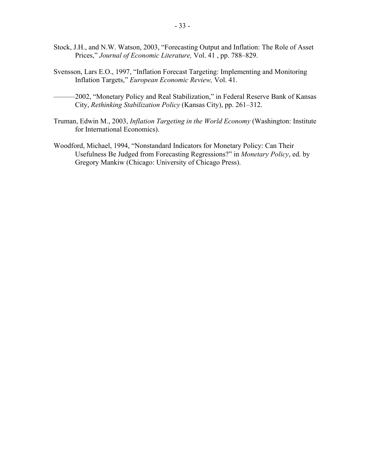- Stock, J.H., and N.W. Watson, 2003, "Forecasting Output and Inflation: The Role of Asset Prices," *Journal of Economic Literature,* Vol. 41 , pp. 788–829.
- Svensson, Lars E.O., 1997, "Inflation Forecast Targeting: Implementing and Monitoring Inflation Targets," *European Economic Review,* Vol. 41.
	- -2002, "Monetary Policy and Real Stabilization," in Federal Reserve Bank of Kansas City, *Rethinking Stabilization Policy* (Kansas City), pp. 261–312.
- Truman, Edwin M., 2003, *Inflation Targeting in the World Economy* (Washington: Institute for International Economics).
- Woodford, Michael, 1994, "Nonstandard Indicators for Monetary Policy: Can Their Usefulness Be Judged from Forecasting Regressions?" in *Monetary Policy*, ed. by Gregory Mankiw (Chicago: University of Chicago Press).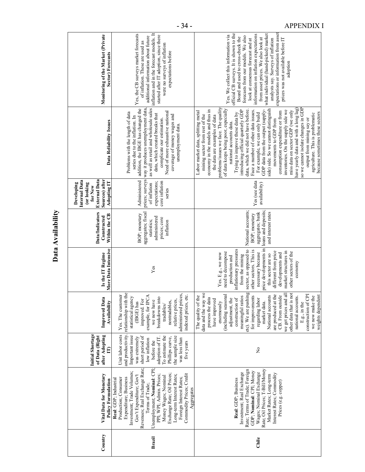|         |                                                                                                                                                                                                                                                                                                                                                                                                         |                                                                                                                                                                                                                                        |                                                                                                                                                                                                                                                                                                                                                                                                                                                                                            |                                                                                                                                                                                                                                                                                                                                     | Data Availability                                                                                    |                                                                                                         |                                                                                                                                                                                                                                                                                                                                                                                                                                                                                                                                                                                                                                                                                                                                                                                                                                                       |                                                                                                                                                                                                                                                                                                                                                                                                                                                          |
|---------|---------------------------------------------------------------------------------------------------------------------------------------------------------------------------------------------------------------------------------------------------------------------------------------------------------------------------------------------------------------------------------------------------------|----------------------------------------------------------------------------------------------------------------------------------------------------------------------------------------------------------------------------------------|--------------------------------------------------------------------------------------------------------------------------------------------------------------------------------------------------------------------------------------------------------------------------------------------------------------------------------------------------------------------------------------------------------------------------------------------------------------------------------------------|-------------------------------------------------------------------------------------------------------------------------------------------------------------------------------------------------------------------------------------------------------------------------------------------------------------------------------------|------------------------------------------------------------------------------------------------------|---------------------------------------------------------------------------------------------------------|-------------------------------------------------------------------------------------------------------------------------------------------------------------------------------------------------------------------------------------------------------------------------------------------------------------------------------------------------------------------------------------------------------------------------------------------------------------------------------------------------------------------------------------------------------------------------------------------------------------------------------------------------------------------------------------------------------------------------------------------------------------------------------------------------------------------------------------------------------|----------------------------------------------------------------------------------------------------------------------------------------------------------------------------------------------------------------------------------------------------------------------------------------------------------------------------------------------------------------------------------------------------------------------------------------------------------|
| Country | Vital Data for Monetary<br><b>Policy Formulation</b>                                                                                                                                                                                                                                                                                                                                                    | <b>Initial Shortage</b><br>after Adopting<br>of Data (Right<br>$\mathbf{E}$                                                                                                                                                            | <b>Improved Data</b><br>Availability                                                                                                                                                                                                                                                                                                                                                                                                                                                       | More Data Intensive<br>Is the IT Regime                                                                                                                                                                                                                                                                                             | <b>Data/Indicators</b><br>Within the CB<br>Constructed                                               | External Data<br>Sources) after<br>Internal Data<br>Adopting IT<br>Developing<br>(or looking<br>for New | Data Reliability Issues                                                                                                                                                                                                                                                                                                                                                                                                                                                                                                                                                                                                                                                                                                                                                                                                                               | Monitoring of the Market (Private<br>Sector) Forecasts                                                                                                                                                                                                                                                                                                                                                                                                   |
| Brazil  | Revenues; Real Exchange Rate;<br>Unemployment; Nominal: CPI;<br>Investment; Trade Volumes;<br>Commodity Prices; Credit<br>Exchange Rate; Oil Prices;<br>Gov't Expenditure; Gov't<br>Long-term Interest Rates;<br>PPI; WPI; Admin. Prices;<br>Money Wages; Nominal<br>Expenditure; Business<br>Foreign Interest Rates;<br>Production; Consumer<br>Real: GDP; Industrial<br>Terms of Trade;<br>Aggregates | and productivity.<br>Unit labor costs<br>Important issue<br>short period of<br>adoption of IT.<br>To estimate the<br>the sample size<br>was extremely<br>Phillips curve,<br>was less than<br>low inflation<br>before the<br>five years | relationship with the<br>administered prices,<br>indexed prices, etc.<br>Yes. The customer<br>example, for IPCA<br>statistical agency<br>$\circ$<br>(IBGE) has<br>improved. For<br>we now have<br>breakdowns int<br>nontradables,<br>relative prices.<br>tradables/                                                                                                                                                                                                                        | Yes                                                                                                                                                                                                                                                                                                                                 | aggregates; fiscal<br>BOP; monetary<br>administered<br>prices; core<br>statistics;<br>inflation      | Administered<br>expectations;<br>core inflation<br>of inflation<br>series                               | as well as retail and wholesale sales<br>addition, the IBGE has changed the<br>prices; surveys way it produces unemployment data,<br>Need of more exhaustive national<br>Problems with the length of data<br>data, which created breaks that<br>coverage of money wages and<br>series due to the inflation. In<br>complicate our estimation.<br>unemployment data.                                                                                                                                                                                                                                                                                                                                                                                                                                                                                    | Yes, the CB surveys market forecasts<br>inflation and in the forecast models. It<br>started after IT adoption, since there<br>additional information about future<br>of inflation. These are used as<br>were no surveys of inflation<br>expectations before                                                                                                                                                                                              |
| Chile   | Rate; Oil Prices; T-Bill/Money<br>Rate; Terms of Trade; Foreign<br>GDP; Nominal: CPI; Money<br>Investment; Real Exchange<br>Wages; Nominal Exchange<br>Interest Rates; Commodity<br>Market Rates; Long-term<br>Real: GDP: Business<br>Prices (e.g. copper)                                                                                                                                              | ż                                                                                                                                                                                                                                      | etc). We are pushing<br>data and the way we<br>l all<br>other data that is not<br>are produced at the<br>construction of CPI<br>weights dependent<br>for improvements<br>The quality of the<br>National accounts<br>CB. From outside<br>(including seasonal<br>national accounts.<br>we now make the<br>meaningful ratios<br>construction of<br>process the data<br>regarding labor<br>adjustment, the<br>have improved<br>enormously<br>market data.<br>we get prices and<br>E.g., in the | price developments in<br>sector, as opposed to<br>inflationary pressures<br>other sectors. This is<br>different from price<br>market structures in<br>other sectors of the<br>need to decompose<br>necessary because<br>developments and<br>Yes. E.g., we now<br>this sector are so<br>from the mining<br>production and<br>economy | loans and deposits;<br>National accounts;<br>aggregates; bank<br>and interest rates<br>BOP; monetary | Yes (see data<br>availability)                                                                          | problems/issues we face. The quality<br>so we cannot isolate changes in GDP<br>side) side. So we cannot distinguish<br>have yearly data and with a long lag)<br>of data keeps being poor, especially<br>GDP data from the output (supply-<br>economy in the models and thus in<br>introducing official quarterly GDP<br>data, which we did not have before.<br>Face a number of other data issues.<br>inventories. On the supply side we<br>miss data on sector GDP (we only<br>consumption expenditure or from<br>Labor market data, splitting metal<br>because sometimes these sectors<br>For example, we can only build<br>Trying to improve these data by<br>agriculture. This is problematic<br>mining sector from rest of the<br>the data are examples of data<br>output from mining say or<br>movements to GDP from<br>national accounts data. | expectations or information from asset<br>official CB surveys. It is shown to the<br>what individual (hand-picked) market<br>information on inflation expectations<br>Yes. We collect this information via<br>forecasts from our models. We also<br>Board and used to cross-check the<br>from asset prices. We also look at<br>analysts say. Surveys of inflation<br>prices was not available before IT<br>look at consensus forecast and at<br>adoption |

- 34 - APPENDIX I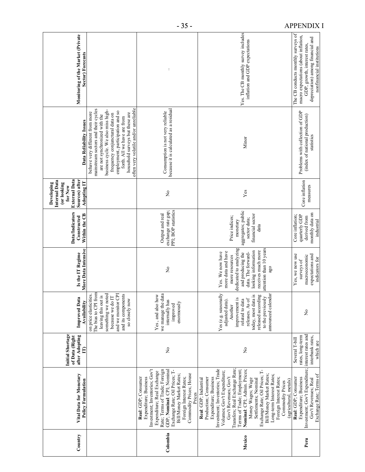| Country  | Vital Data for Monetary<br><b>Policy Formulation</b>                                                                                                                                                                                                                                                                                                                                                                                                                              | <b>Initial Shortage</b><br>after Adopting<br>of Data (Right<br>$\mathbf{E}$               | Improved Data<br>Availability                                                                                                                                                                      | More Data Intensive<br>Is the IT Regime                                                                                                                                                                      | <b>Data/Indicators</b><br>Within the CB<br>Constructed                                       | <b>External Data</b><br>Sources) after<br>Internal Data<br><b>Adopting IT</b><br>Developing<br>(or looking<br>for New | Data Reliability Issues                                                                                                                                                                                                                                                                                                        | Monitoring of the Market (Private<br>Sector) Forecasts                                                                                                                       |
|----------|-----------------------------------------------------------------------------------------------------------------------------------------------------------------------------------------------------------------------------------------------------------------------------------------------------------------------------------------------------------------------------------------------------------------------------------------------------------------------------------|-------------------------------------------------------------------------------------------|----------------------------------------------------------------------------------------------------------------------------------------------------------------------------------------------------|--------------------------------------------------------------------------------------------------------------------------------------------------------------------------------------------------------------|----------------------------------------------------------------------------------------------|-----------------------------------------------------------------------------------------------------------------------|--------------------------------------------------------------------------------------------------------------------------------------------------------------------------------------------------------------------------------------------------------------------------------------------------------------------------------|------------------------------------------------------------------------------------------------------------------------------------------------------------------------------|
|          |                                                                                                                                                                                                                                                                                                                                                                                                                                                                                   |                                                                                           | The bias to CPI from<br>something we noted<br>and we monitor CPI<br>and its components<br>ies.<br>leaving this out is<br>because we do IT<br>on price elasticiti<br>so closely now                 |                                                                                                                                                                                                              |                                                                                              |                                                                                                                       | often very volatile and/or unreliable<br>mainstream sectors and their cycles<br>business cycle. We also miss high-<br>employment, participation and so<br>behave very different from more<br>household surveys but these are<br>frequency conjunctural data on<br>are not synchronized with the<br>forth. All we have are from |                                                                                                                                                                              |
| Colombia | Investment; Inventories; Gov't<br>Rate; Terms of Trade; Foreign<br>GDP; Nominal: CPI; Nominal<br>Exchange Rate; Oil Prices; T-<br>Expenditure; Real Exchange<br>Bill/Money Market Rates;<br>Commodity Prices; House<br>Expenditure; Business<br>Real: GDP; Consumer<br>Foreign Interest Rates;<br>Prices                                                                                                                                                                          | ż                                                                                         | we manage the data<br>Yes, and also how<br>internally has<br>enormously<br>improved                                                                                                                | $\mathsf{S}^{\mathsf{O}}$                                                                                                                                                                                    | PPI; BOP statistics<br>exchange rate gap;<br>Output and real                                 | $\mathsf{S}^{\mathsf{O}}$                                                                                             | because it is calculated as a residual<br>Consumption is not very reliable                                                                                                                                                                                                                                                     |                                                                                                                                                                              |
| Mexico   | Transfers; Real Exchange Rate;<br>Investment; Inventories; Trade<br>Terms of Trade; Employment;<br>Nominal: CPI; Admin. Prices;<br>Exchange Rate; Oil Prices; T-<br>Volumes; Gov't Expenditure;<br>Bill/Money Market Rates;<br>Long-term Interest Rates;<br>Gov't Revenues; Gov't<br>Expenditure; Business<br>Foreign Interest Rates;<br>Settlements; Nominal<br>Production; Consumer<br>Money Wages; Wage<br>Real: GDP; Industrial<br>(agricultural, metals)<br>Commodity Prices | ż                                                                                         | Yes (e.g. seasonally<br>announced calendar<br>released according<br>today, most data is<br>to the previously<br>improvement is<br>adjusted data).<br>related to data<br>releases. As of<br>Another | dedicated to analyzing<br>attention than 10 years<br>looking information<br>receives much more<br>more data and have<br>Yes. We now have<br>and producing the<br>data. The forward-<br>more resources<br>ago | aggregates; public<br>financial sector<br>Price indices;<br>sector data;<br>monetary<br>data | $\mathbf{Yes}$                                                                                                        | Minor                                                                                                                                                                                                                                                                                                                          | Yes. The CB monthly survey includes<br>inflation and GDP expectations                                                                                                        |
| Peru     | Investment; Gov't Expenditure;<br>Exchange Rate; Terms of<br>Real: GDP; Consumer<br>Expenditure; Business<br>Gov't Revenues; Real                                                                                                                                                                                                                                                                                                                                                 | interest rates and<br>rates, long-term<br>interbank rates,<br>Several T-bill<br>which are | ż                                                                                                                                                                                                  | Yes, we now use<br>expectations and<br>macroeconomic<br>indicators for<br>surveys of                                                                                                                         | monthly data on<br>quarterly GDP<br>Core inflation:<br>derived from<br>industrial            | Core inflation<br>measures                                                                                            | Problems with collection of GDP<br>(index of national production)<br>statistics                                                                                                                                                                                                                                                | The CB conducts monthly surveys of<br>macro expectations (about inflation,<br>depreciation) among financial and<br>GDP, growth, interest rates,<br>nonfinancial institutions |

- 35 - APPENDIX I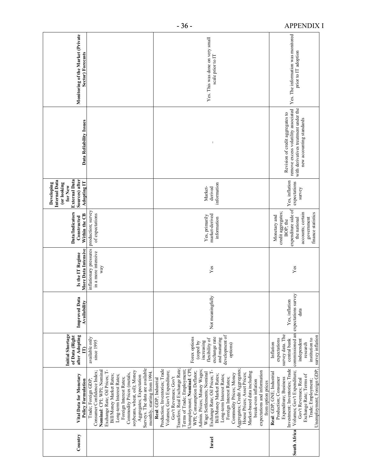| Monitoring of the Market (Private<br>Sector) Forecasts                                                         |                                                                                                                                                                                                                                                                                                                                                                 | Yes. This was done on very small<br>scale prior to IT                                                                                                                                                                                                                                                                                                                                                                                                                                                                                                                                                                                  | Yes. The information was monitored<br>prior to IT adoption                                                                                                                                                                                          |
|----------------------------------------------------------------------------------------------------------------|-----------------------------------------------------------------------------------------------------------------------------------------------------------------------------------------------------------------------------------------------------------------------------------------------------------------------------------------------------------------|----------------------------------------------------------------------------------------------------------------------------------------------------------------------------------------------------------------------------------------------------------------------------------------------------------------------------------------------------------------------------------------------------------------------------------------------------------------------------------------------------------------------------------------------------------------------------------------------------------------------------------------|-----------------------------------------------------------------------------------------------------------------------------------------------------------------------------------------------------------------------------------------------------|
| Data Reliability Issues                                                                                        |                                                                                                                                                                                                                                                                                                                                                                 | $\vdots$                                                                                                                                                                                                                                                                                                                                                                                                                                                                                                                                                                                                                               | remove excess volatility associated<br>with derivatives treatment under the<br>Revision of credit aggregates to<br>new accounting standards                                                                                                         |
| <b>External Data</b><br>Sources) after<br>Internal Data<br>Adopting IT<br>Developing<br>(or looking<br>for New |                                                                                                                                                                                                                                                                                                                                                                 | information<br>Market-<br>derived                                                                                                                                                                                                                                                                                                                                                                                                                                                                                                                                                                                                      | Yes, inflation<br>expectations<br>survey                                                                                                                                                                                                            |
| <b>Data/Indicators</b><br>Within the CB<br>Constructed                                                         | production; survey<br>of expectations                                                                                                                                                                                                                                                                                                                           | market-derived<br>Yes, primarily<br>information                                                                                                                                                                                                                                                                                                                                                                                                                                                                                                                                                                                        | expenditure side of<br>credit aggregates;<br>finance statistics<br>accounts; certain<br>Monetary and<br>government<br>the national<br>BOP; the                                                                                                      |
| More Data Intensive<br>Is the IT Regime                                                                        | inflationary pressures<br>in a more intensive<br>way                                                                                                                                                                                                                                                                                                            | Yes                                                                                                                                                                                                                                                                                                                                                                                                                                                                                                                                                                                                                                    | Yes                                                                                                                                                                                                                                                 |
| <b>Improved Data</b><br><b>Availability</b>                                                                    |                                                                                                                                                                                                                                                                                                                                                                 | Not meaningfully                                                                                                                                                                                                                                                                                                                                                                                                                                                                                                                                                                                                                       | λò.<br>Yes, inflation<br>commissioned an expectations surv<br>data                                                                                                                                                                                  |
| <b>Initial Shortage</b><br>after Adopting<br>of Data (Right<br>E                                               | available only<br>since 1995                                                                                                                                                                                                                                                                                                                                    | development of<br>Forex options<br>exchange rate<br>and maturing<br>flexibility of<br>(coped by<br>increasing<br>options)                                                                                                                                                                                                                                                                                                                                                                                                                                                                                                              | survey data. The<br>survey inflation<br>expectations<br>institution to<br>central bank<br>independent<br>Inflation<br>research                                                                                                                      |
| Vital Data for Monetary<br><b>Policy Formulation</b>                                                           | Surveys. The data are available<br>Exchange Rate; Oil Prices; T-<br>Nominal: CPI; WPI; Nominal<br>soybeans, wheat, oil); Money<br>Consumer Confidence Index;<br>monthly, starting from 1994.<br>Commodity Prices (metals,<br>Bill/Money Market Rates;<br>Long-term Interest Rates;<br>Aggregates; Expectation<br>Foreign Interest Rates;<br>Trade; Foreign GDP; | Transfers; Real Exchange Rate;<br>Aggregates; Credit Aggregates;<br>Production; Inventories; Trade<br>Unemployment; Nominal: CPI<br>Admin. Prices; Money Wages;<br>Terms of Trade; Employment;<br>Exchange Rate; Oil Prices; T-<br>Volumes; Gov't Expenditure;<br>expectations and information<br>WPI; Consumption Deflator;<br>Market-based data including<br>Wage Settlements; Nominal<br>House Prices; Asset Prices;<br>Commodity Prices; Money<br>Bill/Money Market Rates;<br>Long-term Interest Rates;<br>Gov't Revenues; Gov't<br>Real: GDP; Industrial<br>Foreign Interest Rates;<br>break-even inflation<br>from option prices | Unemployment; Foreign GDP;<br>Investment; Inventories; Trade<br>Volumes; Gov't Expenditure;<br>Real: GDP; GNE; Industrial<br>Exchange Rate; Terms of<br>Expenditure; Business<br>Production; Consumer<br>Gov't Revenues; Real<br>Trade; Employment; |
| Country                                                                                                        |                                                                                                                                                                                                                                                                                                                                                                 | Israel                                                                                                                                                                                                                                                                                                                                                                                                                                                                                                                                                                                                                                 | South Africa                                                                                                                                                                                                                                        |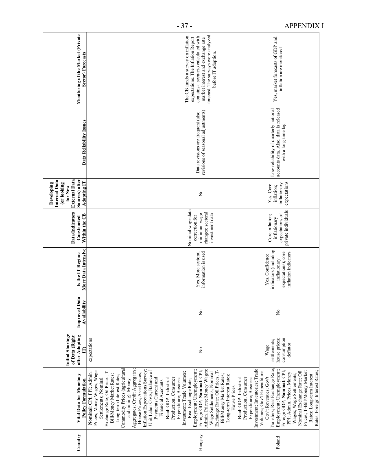| Country | Vital Data for Monetary<br><b>Policy Formulation</b>                                                                                                                                                                                                                                                                                                                                                                                               | <b>Initial Shortage</b><br>after Adopting<br>of Data (Right<br>$\mathbf{E}$ | $\overline{\mathbf{c}}$<br><b>Improved Dat</b><br>Availability | More Data Intensive<br>Is the IT Regime                                                                 | <b>Data/Indicators</b><br>Within the CB<br>Constructed                                      | <b>External Data</b><br>Sources) after<br>Internal Data<br><b>Adopting IT</b><br>(or looking<br>Developing<br>for New | Data Reliability Issues                                                                                | Monitoring of the Market (Private<br>Sector) Forecasts                                                                                                                                                             |
|---------|----------------------------------------------------------------------------------------------------------------------------------------------------------------------------------------------------------------------------------------------------------------------------------------------------------------------------------------------------------------------------------------------------------------------------------------------------|-----------------------------------------------------------------------------|----------------------------------------------------------------|---------------------------------------------------------------------------------------------------------|---------------------------------------------------------------------------------------------|-----------------------------------------------------------------------------------------------------------------------|--------------------------------------------------------------------------------------------------------|--------------------------------------------------------------------------------------------------------------------------------------------------------------------------------------------------------------------|
|         | Aggregates; Credit Aggregates;<br>Commodity Prices (agricultural<br>Exchange Rate; Oil Prices; T-<br>Inflation Expectations Survey;<br>Unit Labor Costs; Balance of<br>Prices; Money Wages; Wage<br>House Prices; Asset Prices;<br>Nominal: CPI; PPI; Admin<br>Bill/Money Market Rates;<br>Long-term Interest Rates;<br>Payments Current and<br>Settlements; Nominal<br>and mining); Money<br>Financial Accounts                                   | expectations                                                                |                                                                |                                                                                                         |                                                                                             |                                                                                                                       |                                                                                                        |                                                                                                                                                                                                                    |
| Hungary | Employment; Unemployment;<br>Admin. Prices; Money Wages;<br>Exchange Rate; Oil Prices; T-<br>Foreign GDP; Nominal: CPI;<br>Investment; Trade Volumes;<br>Wage Settlements; Nominal<br>Bill/Money Market Rates;<br>Long-term Interest Rates;<br>Expenditure; Business<br>Production; Consumer<br>Real: GDP; Industrial<br>Real Exchange Rate;<br>House Prices                                                                                       | $\tilde{z}$                                                                 | $\tilde{z}$                                                    | information is used<br>Yes. More sectoral                                                               | Nominal wage data<br>changes; sectoral<br>minimum wage<br>investment data<br>correction for | $\tilde{z}$                                                                                                           | revisions of seasonal adjustments)<br>Data revisions are frequent (also                                | forecast. The surveys were analyzed<br>The CB funds a survey on inflation<br>contains a scenario calculated with<br>expectations. The Inflation Report<br>market interest and exchange rate<br>before IT adoption. |
| Poland  | Investment; Inventories; Trade<br>Transfers; Real Exchange Rate;<br>Employment; Unemployment;<br>Volumes; Gov't Expenditure;<br>Foreign GDP; Nominal: CPI;<br>Prices; T-Bill/Money Market<br>Rates; Foreign Interest Rates;<br>Nominal Exchange Rate; Oil<br>PPI; Admin. Prices; Money<br>Wages; Wage Settlements;<br>Rates; Long-term Interest<br>Gov't Revenues; Gov't<br>Production; Consumer<br>Expenditure; Business<br>Real: GDP; Industrial | consumption<br>house prices;<br>settlements;<br>deflator<br>Wage            | $\tilde{z}$                                                    | indicators (including<br>expectations); core<br>inflation indicators<br>Yes. Confidence<br>inflationary | private individuals<br>expectations of<br>Core inflation;<br>inflationary                   | expectations<br>inflationary<br>Yes. Core<br>inflation;                                                               | accounts data. Also, data is released<br>Low reliability of quarterly national<br>with a long time lag | Yes, market forecasts of GDP and<br>inflation are monitored                                                                                                                                                        |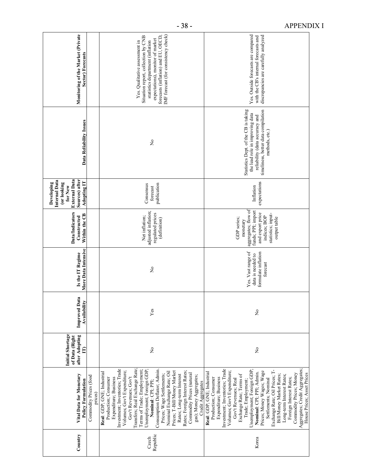| Country           | Vital Data for Monetary<br>Commodity Prices (food<br><b>Policy Formulation</b><br>prices                                                                                                                                                                                                                                                                                                                                                                                                                                                                        | <b>Initial Shortage</b><br>after Adopting<br>of Data (Right<br>Ē | <b>Improved Data</b><br><b>Availability</b> | More Data Intensive<br>Is the IT Regime                                    | <b>Data/Indicators</b><br>Within the CB<br>Constructed                                                                                         | <b>External Data</b><br>Sources) after<br>Internal Data<br><b>Adopting IT</b><br>Developing<br>(or looking<br>for New | Data Reliability Issues                                                                                                                                            | Monitoring of the Market (Private<br>Sector) Forecasts                                                                                                                                                                       |
|-------------------|-----------------------------------------------------------------------------------------------------------------------------------------------------------------------------------------------------------------------------------------------------------------------------------------------------------------------------------------------------------------------------------------------------------------------------------------------------------------------------------------------------------------------------------------------------------------|------------------------------------------------------------------|---------------------------------------------|----------------------------------------------------------------------------|------------------------------------------------------------------------------------------------------------------------------------------------|-----------------------------------------------------------------------------------------------------------------------|--------------------------------------------------------------------------------------------------------------------------------------------------------------------|------------------------------------------------------------------------------------------------------------------------------------------------------------------------------------------------------------------------------|
| Republic<br>Czech | Investment; Inventories; Trade<br>Transfers; Real Exchange Rate;<br>Terms of Trade; Employment;<br>Unemployment; Foreign GDP;<br>Consumption Deflator; Admin<br>Volumes; Gov't Expenditure;<br>Prices; T-Bill/Money Market<br>Rates; Foreign Interest Rates;<br>Nominal Exchange Rate; Oil<br>Real: GDP; GNE; Industrial<br>Commodity Prices (natural<br>Prices; Wage Settlements;<br>Rates; Long-term Interest<br>gas); Money Aggregates;<br>Gov't Revenues; Gov't<br>Production; Consumer<br>Expenditure; Business<br>Nominal: CPI; PPI;<br>Credit Aggregates | $\overline{\mathsf{z}}$                                          | Yes                                         | $\overline{\mathsf{X}}$                                                    | adjusted inflation;<br>regulated prices<br>Net inflation;<br>(definition)                                                                      | publication<br>Consensus<br>forecast                                                                                  | $\frac{1}{2}$                                                                                                                                                      | IMF forecast (for consistency check)<br>forecasts (inflation) and EU, OECD,<br>Situation report, collection by CNB<br>expectations), monitor of market<br>statistics department (inflation<br>Yes. Qualitative assessment in |
| Korea             | Aggregates; Credit Aggregates;<br>Investment; Inventories; Trade<br>Exchange Rate; Oil Prices; T-<br>Unemployment; Foreign GDP;<br>Volumes; Gov't Expenditure;<br>Prices; Money Wages; Wage<br>Real: GDP; GNE; Industrial<br>Nominal: CPI; PPI; Admin.<br>Commodity Prices; Money<br>Bill/Money Market Rates;<br>House Prices; Asset Prices<br>Exchange Rate; Terms of<br>Long-term Interest Rates;<br>Settlements; Nominal<br>Foreign Interest Rates;<br>Expenditure; Business<br>Production; Consumer<br>Gov't Revenues; Real<br>Trade; Employment;           | $\tilde{z}$                                                      | $\tilde{z}$                                 | Yes. Vast range of<br>formulate inflation<br>data is needed to<br>forecast | aggregates; flow of<br>funds; PPI; import<br>and export price<br>statistics; input-<br>indices; BOP<br>output table<br>GDP series;<br>monetary | expectations<br>Inflation                                                                                             | Statistics Dept. of the CB is taking<br>timeliness, better data compilation<br>the lead role in improving data<br>reliability (data accuracy and<br>methods, etc.) | Yes. Outside forecasts are compared<br>discrepancies are carefully analyzed<br>with the CB's internal forecasts and                                                                                                          |

- 38 - APPENDIX I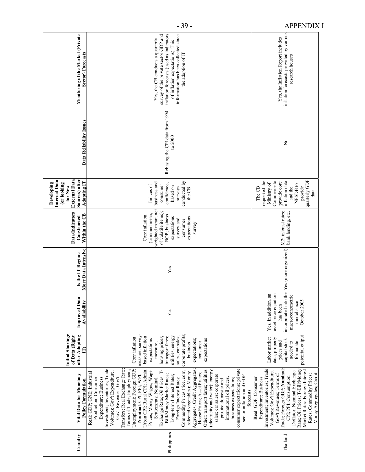| Monitoring of the Market (Private<br>Sector) Forecasts                                                                | inflation forecasts (used as indicators<br>survey of the private sector GDP and<br>information has been collected since<br>Yes, the CB conducts a quarterly<br>of inflation expectations). This<br>the adoption of IT                                                                                                                                                                                                                                                                                                                                                                                                                                                                                                                                                                                                                                                                                       | inflation forecasts provided by various<br>Yes, the Inflation Report includes<br>research houses                                                                                                                                                                                                                                                             |
|-----------------------------------------------------------------------------------------------------------------------|-------------------------------------------------------------------------------------------------------------------------------------------------------------------------------------------------------------------------------------------------------------------------------------------------------------------------------------------------------------------------------------------------------------------------------------------------------------------------------------------------------------------------------------------------------------------------------------------------------------------------------------------------------------------------------------------------------------------------------------------------------------------------------------------------------------------------------------------------------------------------------------------------------------|--------------------------------------------------------------------------------------------------------------------------------------------------------------------------------------------------------------------------------------------------------------------------------------------------------------------------------------------------------------|
| Data Reliability Issues                                                                                               | Rebasing the CPI data from 1994<br>to $2000$                                                                                                                                                                                                                                                                                                                                                                                                                                                                                                                                                                                                                                                                                                                                                                                                                                                                | $\tilde{z}$                                                                                                                                                                                                                                                                                                                                                  |
| <b>External Data</b><br>Sources) after<br>Internal Data<br><b>Adopting IT</b><br>Developing<br>(or looking<br>for New | conducted by<br>business and<br>confidence,<br>Indices of<br>consumer<br>based on<br>surveys<br>the CB                                                                                                                                                                                                                                                                                                                                                                                                                                                                                                                                                                                                                                                                                                                                                                                                      | quarterly GDP<br>Commerce to<br>requested the<br>inflation data<br>provide core<br>Ministry of<br>NESDB to<br>provide<br>and the<br>The CB<br>data                                                                                                                                                                                                           |
| <b>Data/Indicators</b><br>Within the CB<br>Constructed                                                                | weighted mean; net<br>of volatile items);<br>(trimmed mean;<br>BOP; business<br>Core inflation<br>expectations<br>expectations<br>survey and<br>consumer<br>survey                                                                                                                                                                                                                                                                                                                                                                                                                                                                                                                                                                                                                                                                                                                                          | M2; interest rates;<br>bank lending, etc.                                                                                                                                                                                                                                                                                                                    |
| More Data Intensive<br>Is the IT Regime                                                                               | Yes                                                                                                                                                                                                                                                                                                                                                                                                                                                                                                                                                                                                                                                                                                                                                                                                                                                                                                         | incorporated into the Yes (more organized)                                                                                                                                                                                                                                                                                                                   |
| $\overline{\mathbf{G}}$<br><b>Improved Dat</b><br>Availability                                                        | Yes                                                                                                                                                                                                                                                                                                                                                                                                                                                                                                                                                                                                                                                                                                                                                                                                                                                                                                         | $\mathbf{a}$<br>asset price equation<br>macroeconometric<br>Yes. In addition,<br>model since<br>October 2005<br>has been                                                                                                                                                                                                                                     |
| Initial Shortage<br>after Adopting<br>of Data (Right<br>$\mathbf{E}$                                                  | corporate profits;<br>measure; survey-<br>utilities; energy<br>sales; car sales;<br>housing prices;<br>based inflation<br>transport fares;<br>Core inflation<br>expectations<br>expectations;<br>expectations<br>consumer<br>measure;<br>business                                                                                                                                                                                                                                                                                                                                                                                                                                                                                                                                                                                                                                                           | potential output<br>Labor market<br>data, property<br>capital stock<br>prices and<br>formulate<br>needed to                                                                                                                                                                                                                                                  |
| Vital Data for Monetary<br><b>Policy Formulation</b>                                                                  | Investment; Inventories; Trade<br>Transfers; Real Exchange Rate;<br>Aggregates; Credit Aggregates;<br>consumer expectations; private<br>Unemployment; Foreign GDP;<br>Exchange Rate; Oil Prices; T-<br>Other: transport fares; utilities<br>Terms of Trade; Employment;<br>Urban CPI; Rural CPI; Admin<br>Commodity Prices (rice, corn,<br>(electricity and water); energy<br>Volumes; Gov't Expenditure;<br>Prices; Money Wages; Wage<br>selected vegetables); Money<br>Real: GDP; GNE; Industrial<br>House Prices; Asset Prices;<br>Nominal: CPI; PPI; WPI;<br>Bill/Money Market Rates;<br>sales; car sales; corporate<br>Long-term Interest Rates;<br>sector inflation and GDP<br>Gov't Revenues; Gov't<br>Settlements; Nominal<br>Foreign Interest Rates;<br>Production; Consumer<br>Expenditure; Business<br>international oil prices,<br>business expectations;<br>profits; domestic and<br>forecasts | Investment; Inventories; Trade<br>Trade; Foreign GDP; Nominal:<br>Rate; Oil Prices; T-Bill/Money<br>Market Rates; Foreign Interest<br>Volumes; Gov't Expenditure;<br>Deflator; Nominal Exchange<br>Gov't Revenues; Terms of<br>Money Aggregates; Credit<br>Rates; Commodity Prices;<br>CPI; PPI; Consumption<br>Real: GDP; Consumer<br>Expenditure; Business |
| Country                                                                                                               | Philippines                                                                                                                                                                                                                                                                                                                                                                                                                                                                                                                                                                                                                                                                                                                                                                                                                                                                                                 | Thailand                                                                                                                                                                                                                                                                                                                                                     |

- 39 - APPENDIX I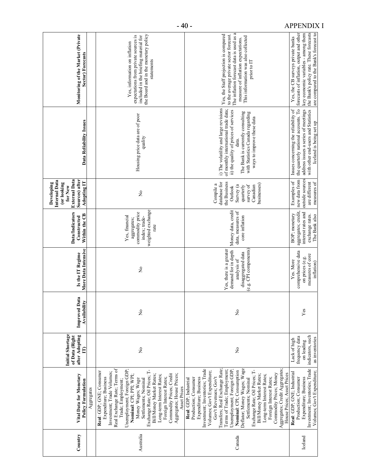| Country   | Vital Data for Monetary<br><b>Policy Formulation</b><br>Aggregates                                                                                                                                                                                                                                                                                                                                                                                                                                                                                                  | <b>Initial Shortage</b><br>after Adopting<br>of Data (Right<br>₿                   | <b>Improved Data</b><br>Availability | More Data Intensive<br>Is the IT Regime                                                                      | <b>Data/Indicators</b><br>Within the CB<br>Constructed                                         | <b>External Data</b><br>Sources) after<br>Internal Data<br><b>Adopting IT</b><br>(or looking<br>Developing<br>for New  | Data Reliability Issues                                                                                                                                                                                                               | Monitoring of the Market (Private<br>Sector) Forecasts                                                                                                                                                                   |
|-----------|---------------------------------------------------------------------------------------------------------------------------------------------------------------------------------------------------------------------------------------------------------------------------------------------------------------------------------------------------------------------------------------------------------------------------------------------------------------------------------------------------------------------------------------------------------------------|------------------------------------------------------------------------------------|--------------------------------------|--------------------------------------------------------------------------------------------------------------|------------------------------------------------------------------------------------------------|------------------------------------------------------------------------------------------------------------------------|---------------------------------------------------------------------------------------------------------------------------------------------------------------------------------------------------------------------------------------|--------------------------------------------------------------------------------------------------------------------------------------------------------------------------------------------------------------------------|
| Australia | Real Exchange Rate; Terms of<br>Unemployment; Foreign GDP;<br>Exchange Rate; Oil Prices; T-<br>Real: GDP; GNE; Consumer<br>Investment; Trade Volumes;<br>Commodity Prices; Credit<br>Aggregates; House Prices;<br>Bill/Money Market Rates;<br>Nominal: CPI; PPI; WPI;<br>Long-term Interest Rates;<br>Expenditure; Business<br>Foreign Interest Rates;<br>Money Wages; Wage<br>Settlements; Nominal<br>Trade; Employment;<br>Asset Prices                                                                                                                           | $\tilde{z}$                                                                        | ż                                    | $\mathsf{S}^{\mathsf{O}}$                                                                                    | weighted exchange<br>commodity price<br>Yes, financial<br>index; trade-<br>aggregates;<br>rate | $\mathsf{S}^{\mathsf{O}}$                                                                                              | Housing price data are of poor<br>quality                                                                                                                                                                                             | the Board and in the monetary policy<br>expectations from private sources is<br>included in the briefing material for<br>Yes, information on inflation<br>statements                                                     |
| Canada    | Aggregates; Credit Aggregates;<br>Deflator; Money Wages; Wage<br>Investment; Inventories; Trade<br>Transfers; Real Exchange Rate;<br>Terms of Trade; Employment;<br>Unemployment; Foreign GDP;<br>Exchange Rate; Oil Prices; T-<br>Nominal: CPI; Consumption<br>Volumes; Gov't Expenditure;<br>Commodity Prices; Money<br>House Prices; Asset Prices<br>Bill/Money Market Rates;<br>Long-term Interest Rates;<br>Gov't Revenues; Gov't<br>Foreign Interest Rates;<br>Settlements; Nominal<br>Expenditure; Business<br>Production; Consumer<br>Real: GDP; Industrial | ż                                                                                  | ż                                    | (e.g. CPI components)<br>Yes, there is a greater<br>demand for in depth<br>disaggregated data<br>analysis of | Money data, credit<br>data, measures of<br>core inflation                                      | the Business<br>database for<br>Compile a<br>businesses)<br>survey of<br>Canadian<br>Survey (a<br>quarterly<br>Outlook | i) The volatility and large revisions<br>of monthly international trade data;<br>ii) the quality of prices of services<br>The Bank is currently consulting<br>with Statistics Canada regarding<br>ways to improve these data<br>data. | The inflation forecast data is used as a<br>Yes, the Staff projection is compared<br>to the average private sector forecast.<br>This information was also collected<br>measure of inflation expectations.<br>prior to IT |
| Iceland   | Investment; Inventories; Trade<br>Volumes; Gov't Expenditure;<br>Real: GDP; GNE; Industrial<br>Production; Consumer<br>Expenditure; Business                                                                                                                                                                                                                                                                                                                                                                                                                        | indicators, such<br>frequency data<br>as inventories<br>Lack of high<br>on leading | Yes                                  | comprehensive data<br>measures of core<br>on prices (e.g.<br>Yes. More<br>inflation)                         | aggregates; credit,<br>interest rates and<br>BOP; monetary<br>exchange rates.<br>The Bank also | new data from<br>outside sources<br>Examples of<br>are different<br>measures of                                        | the quarterly national accounts. To<br>address issues a series of meetings<br>with other end-users and Statistics<br>Issues concerning the reliability of<br>Iceland is being set up                                                  | the Bank's policy rate. These forecasts<br>forecasts of inflation, output and other<br>key economic variables - among them<br>are compared to the Bank's forecast to<br>Yes, the CB surveys private banks                |

- 40 - APPENDIX I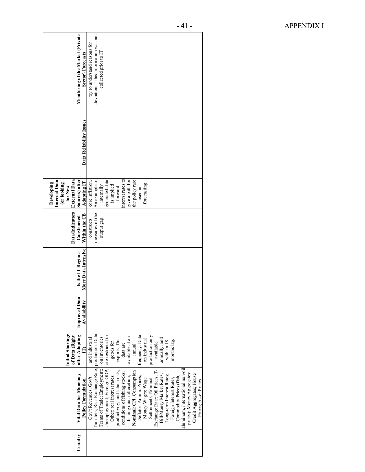| Monitoring of the Market (Private<br><b>Sector) Forecasts</b>                                                  | deviations. This information was not<br>try to understand reasons for<br>collected prior to IT                                                                                                                                                                                                                                                                                                                                                                                                                                                                                                                                                          |
|----------------------------------------------------------------------------------------------------------------|---------------------------------------------------------------------------------------------------------------------------------------------------------------------------------------------------------------------------------------------------------------------------------------------------------------------------------------------------------------------------------------------------------------------------------------------------------------------------------------------------------------------------------------------------------------------------------------------------------------------------------------------------------|
| Data Reliability Issues                                                                                        |                                                                                                                                                                                                                                                                                                                                                                                                                                                                                                                                                                                                                                                         |
| Sources) after<br><b>External Data</b><br>Internal Data<br>Adopting IT<br>Developing<br>(or looking<br>for New | nterest rates to<br>An example of<br>the policy rate<br>generated data<br>is implied<br>give a path for<br>core inflation.<br>forecasting<br>internally<br>forward<br>used in                                                                                                                                                                                                                                                                                                                                                                                                                                                                           |
| <b>Data/Indicators</b><br>Within the CB<br>Constructed                                                         | measures of the<br>constructs<br>output gap                                                                                                                                                                                                                                                                                                                                                                                                                                                                                                                                                                                                             |
| More Data Intensive<br>Is the IT Regime                                                                        |                                                                                                                                                                                                                                                                                                                                                                                                                                                                                                                                                                                                                                                         |
| <b>Improved Data</b><br>Availability                                                                           |                                                                                                                                                                                                                                                                                                                                                                                                                                                                                                                                                                                                                                                         |
| Initial Shortage<br>after Adopting<br>of Data (Right<br>Ê                                                      | are restricted to<br>frequency. Data<br>production only<br>on inventories<br>available at an<br>and industrial<br>$\,$ annually, and $\,$ with an $18$<br>exports. This<br>on industrial<br>months lag.<br>available<br>goods for<br>data are<br>annual                                                                                                                                                                                                                                                                                                                                                                                                 |
| Vital Data for Monetary<br><b>Policy Formulation</b>                                                           | Transfers; Real Exchange Rate; production. Data<br>Terms of Trade; Employment;<br>Unemployment; Foreign GDP;<br>aluminum, international non-oil<br>Settlements; Nominal<br>Exchange Rate; Oil Prices; T-<br>productivity; unit labor costs;<br>fishing quota allocation;<br><b>Nominal:</b> CPI; Consumption<br>conditions of fishing stocks;<br>prices); Money Aggregates;<br>Credit Aggregates; House<br>Long-term Interest Rates;<br>Bill/Money Market Rates;<br>Other: real interest rates;<br>Deflator; Admin. Prices;<br>Gov't Revenues; Gov't<br>Commodity Prices (fish,<br>Money Wages; Wage<br>Foreign Interest Rates;<br>Prices: Asset Prices |
| Country                                                                                                        |                                                                                                                                                                                                                                                                                                                                                                                                                                                                                                                                                                                                                                                         |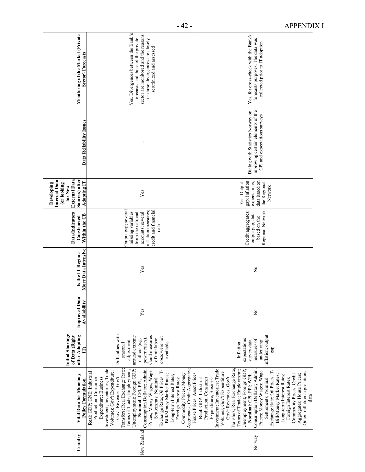| Monitoring of the Market (Private<br>Sector) Forecasts                                                                | Yes. Divergences between the Bank's<br>sector are monitored and the reasons<br>forecasts and those of the private<br>for those divergences are closely<br>scrutinized and assessed                                                                                                                                                                                                                                                                                                                                                                                                                          | Yes, for cross-check with the Bank's<br>forecasts purposes. The data was<br>collected prior to IT adoption                                                                                                                                                                                                                                                                                                                                                                                                                                                                                           |
|-----------------------------------------------------------------------------------------------------------------------|-------------------------------------------------------------------------------------------------------------------------------------------------------------------------------------------------------------------------------------------------------------------------------------------------------------------------------------------------------------------------------------------------------------------------------------------------------------------------------------------------------------------------------------------------------------------------------------------------------------|------------------------------------------------------------------------------------------------------------------------------------------------------------------------------------------------------------------------------------------------------------------------------------------------------------------------------------------------------------------------------------------------------------------------------------------------------------------------------------------------------------------------------------------------------------------------------------------------------|
| Data Reliability Issues                                                                                               |                                                                                                                                                                                                                                                                                                                                                                                                                                                                                                                                                                                                             | improving certain elements of the<br>Dialog with Statistics Norway on<br>CPI and expectations surveys                                                                                                                                                                                                                                                                                                                                                                                                                                                                                                |
| <b>External Data</b><br>Sources) after<br>Internal Data<br><b>Adopting IT</b><br>Developing<br>(or looking<br>for New | Yes                                                                                                                                                                                                                                                                                                                                                                                                                                                                                                                                                                                                         | data based on<br>gap; inflation<br>expectations;<br>Yes. Output<br>the Regional<br>Network                                                                                                                                                                                                                                                                                                                                                                                                                                                                                                           |
| <b>Data/Indicators</b><br>Within the CB<br>Constructed                                                                | Output gap; several<br>inflation measures;<br>credit and financial<br>missing variables<br>from the national<br>accounts; several<br>data                                                                                                                                                                                                                                                                                                                                                                                                                                                                   | Credit aggregates;<br>Regional Network<br>output gap; data<br>based on the                                                                                                                                                                                                                                                                                                                                                                                                                                                                                                                           |
| More Data Intensive<br>Is the IT Regime                                                                               | Yes                                                                                                                                                                                                                                                                                                                                                                                                                                                                                                                                                                                                         | $\mathsf{S}^{\mathsf{o}}$                                                                                                                                                                                                                                                                                                                                                                                                                                                                                                                                                                            |
| <b>Improved Data</b><br>Availability                                                                                  | Yes                                                                                                                                                                                                                                                                                                                                                                                                                                                                                                                                                                                                         | $\frac{1}{2}$                                                                                                                                                                                                                                                                                                                                                                                                                                                                                                                                                                                        |
| <b>Initial Shortage</b><br>after Adopting<br>of Data (Right<br>$\mathbf{E}$                                           | Difficulties with<br>around extreme<br>Good measures<br>costs were not<br>power crises).<br>of unit labor<br>outliers (e.g.<br>adjustment<br>available<br>seasonal                                                                                                                                                                                                                                                                                                                                                                                                                                          | inflation; output<br>expectations<br>measures of<br>survey data,<br>underlying<br>Inflation<br>gap                                                                                                                                                                                                                                                                                                                                                                                                                                                                                                   |
| Vital Data for Monetary<br><b>Policy Formulation</b>                                                                  | Aggregates; Credit Aggregates;<br>Transfers; Real Exchange Rate;<br>Investment; Inventories; Trade<br>Unemployment; Foreign GDP;<br>Terms of Trade; Employment;<br>New Zealand Consumption Deflator, Admin.<br>Exchange Rate; Oil Prices; T-<br>Volumes; Gov't Expenditure;<br>Prices; Money Wages; Wage<br>Real: GDP; GNE; Industrial<br>Commodity Prices; Money<br>House Prices; Asset Prices<br>Bill/Money Market Rates;<br>Long-term Interest Rates;<br>Gov't Revenues; Gov't<br>Foreign Interest Rates;<br>Expenditure; Business<br>Production; Consumer<br>Settlements; Nominal<br>Nominal: CPI; PPI; | Investment; Inventories; Trade<br>Transfers; Real Exchange Rate;<br>Terms of Trade; Employment;<br>Consumption Deflator; Admin<br>Exchange Rate; Oil Prices; T-<br>Unemployment; Foreign GDP<br>Volumes; Gov't Expenditure;<br>Prices; Money Wages; Wage<br>Other: inflation expectations<br>Commodity Prices; Credit<br>Bill/Money Market Rates;<br>Aggregates; House Prices;<br>Nominal: CPI; PPI; WPI;<br>Long-term Interest Rates;<br>Gov't Revenues; Gov't<br>Settlements; Nominal<br>Expenditure; Business<br>Foreign Interest Rates;<br>Production; Consumer<br>Real: GDP; Industrial<br>data |
| Country                                                                                                               |                                                                                                                                                                                                                                                                                                                                                                                                                                                                                                                                                                                                             | Norway                                                                                                                                                                                                                                                                                                                                                                                                                                                                                                                                                                                               |

- 42 - APPENDIX I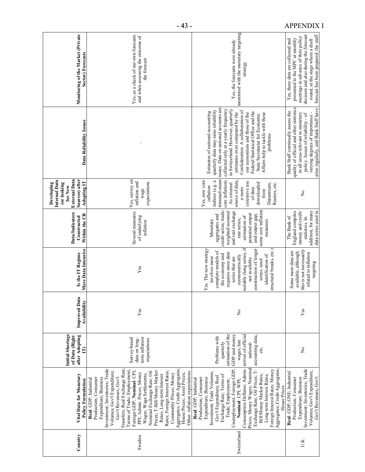| Monitoring of the Market (Private<br>Sector) Forecasts                                                         | Yes, as a check of our own forecasts<br>and when assessing the outcome of<br>the forecast                                                                                                                                                                                                                                                                                                                                                                                                                                                                                         | monitored with the monetary targeting<br>Yes, the forecasts were already<br>strategy                                                                                                                                                                                                                                                                                                                                                                                              | forecast has been prepared; the staff<br>decision and also during the forecast<br>meetings in advance of their policy<br>presented to the MPC at monthly<br>Yes, these data are collected and<br>round, at the stage where a draft  |
|----------------------------------------------------------------------------------------------------------------|-----------------------------------------------------------------------------------------------------------------------------------------------------------------------------------------------------------------------------------------------------------------------------------------------------------------------------------------------------------------------------------------------------------------------------------------------------------------------------------------------------------------------------------------------------------------------------------|-----------------------------------------------------------------------------------------------------------------------------------------------------------------------------------------------------------------------------------------------------------------------------------------------------------------------------------------------------------------------------------------------------------------------------------------------------------------------------------|-------------------------------------------------------------------------------------------------------------------------------------------------------------------------------------------------------------------------------------|
| Data Reliability Issues                                                                                        | $\ddot{\phantom{a}}$                                                                                                                                                                                                                                                                                                                                                                                                                                                                                                                                                              | issues. Data on national accounts are<br>collected only at a yearly frequency<br>in Switzerland. However, quarterly<br>Confederation. A collaboration of<br>quarterly data may raise reliability<br>Estimates of national-accounting<br>Federal Statistical Office and the<br>estimates exist computed by the<br>our economists and those of the<br>Affairs help to tackle with these<br>State Secretariat for Economic<br>problems                                               | arise regularly, and Bank Staff have<br>quality of official and other statistics<br>Bank Staff continually assess the<br>in all areas relevant to monetary<br>varying degrees of importance -<br>policy. Issues of reliability - of |
| <b>External Data</b><br>Sources) after<br>Internal Data<br>Adopting IT<br>Developing<br>(or looking<br>for New | Yes, survey on<br>inflation and<br>expectations<br>wage                                                                                                                                                                                                                                                                                                                                                                                                                                                                                                                           | trimmed-mean<br>Yes, new core<br>indices (e.g. a<br>core inflation).<br>source of data.<br>extensive use<br>downloaded<br>Datastream,<br>Reuters, etc.<br>As external<br>inflation<br>a more<br>of data<br>from                                                                                                                                                                                                                                                                   | $\mathsf{S}^{\mathsf{O}}$                                                                                                                                                                                                           |
| <b>Data/Indicators</b><br>Within the CB<br>Constructed                                                         | Several measures<br>of underlying<br>inflation                                                                                                                                                                                                                                                                                                                                                                                                                                                                                                                                    | some core inflation<br>credit series; trade-<br>weighted nominal<br>and real exchange<br>potential output<br>aggregates and<br>and output gap;<br>estimation of<br>rate series;<br>Monetary<br>measures                                                                                                                                                                                                                                                                           | addition, for many<br>England compiles<br>data series used in<br>money and credit<br>statistics. In<br>The Bank of                                                                                                                  |
| More Data Intensive<br>Is the IT Regime                                                                        | Yes                                                                                                                                                                                                                                                                                                                                                                                                                                                                                                                                                                               | 'n<br>Yes. The new strategy<br>structural breaks, etc.)<br>construction of longer<br>complete models of<br>suitable (long series,<br>requires more data<br>the economy and<br>identification of<br>econometrically<br>involves more<br>series that are<br>not available<br>series, need                                                                                                                                                                                           | this is not necessarily<br>Some more data are<br>available, although<br>related to inflation<br>targeting                                                                                                                           |
| <b>Improved Data</b><br>Availability                                                                           | Yes                                                                                                                                                                                                                                                                                                                                                                                                                                                                                                                                                                               | $\mathsf{S}^{\mathsf{O}}$                                                                                                                                                                                                                                                                                                                                                                                                                                                         | Yes                                                                                                                                                                                                                                 |
| Initial Shortage<br>after Adopting<br>of Data (Right<br>$\mathbf{r}$                                           | term inflation<br>Survey-based<br>data on long-<br>expectations                                                                                                                                                                                                                                                                                                                                                                                                                                                                                                                   | estimation of the<br>arrival of official<br>GDP and money<br>accounting data,<br>Problems with<br>wages, late<br>quarterly<br>national-<br>etc.                                                                                                                                                                                                                                                                                                                                   | ż                                                                                                                                                                                                                                   |
| Vital Data for Monetary<br><b>Policy Formulation</b>                                                           | Transfers; Real Exchange Rate;<br>Aggregates; Credit Aggregates;<br>Investment; Inventories; Trade<br>Terms of Trade; Employment;<br>Foreign GDP; Nominal: CPI;<br>Volumes; Gov't Expenditure;<br>Rates; Foreign Interest Rates;<br>Prices; T-Bill/Money Market<br>Other: inflation expectations<br>Nominal Exchange Rate; Oil<br>PPI; Admin. Prices; Money<br>House Prices; Asset Prices;<br>Commodity Prices; Money<br>Wages; Wage Settlements;<br>Rates; Long-term Interest<br>Gov't Revenues; Gov't<br>Expenditure; Business<br>Production; Consumer<br>Real: GDP; Industrial | Consumption Deflator; Admin.<br>Unemployment; Foreign GDP;<br>Prices; Money Wages; Nominal<br>Aggregates; Credit Aggregates;<br>Exchange Rate; Oil Prices; T-<br>Foreign Interest Rates; Money<br>Investment; Trade Volumes;<br>Exchange Rate; Terms of<br>Bill/Money Market Rates;<br>Long-term Interest Rates;<br>Gov't Expenditure; Real<br>Expenditure; Business<br>Production; Consumer<br>Real: GDP; Industrial<br>Nominal: CPI; WPI;<br>Trade; Employment;<br>House Prices | Investment; Inventories; Trade<br>Volumes; Gov't Expenditure;<br>Real: GDP; GNE; Industrial<br>Expenditure; Business<br>Gov't Revenues; Gov't<br>Production; Consumer                                                               |
| Country                                                                                                        | Sweden                                                                                                                                                                                                                                                                                                                                                                                                                                                                                                                                                                            | Switzerland                                                                                                                                                                                                                                                                                                                                                                                                                                                                       | ΠK.                                                                                                                                                                                                                                 |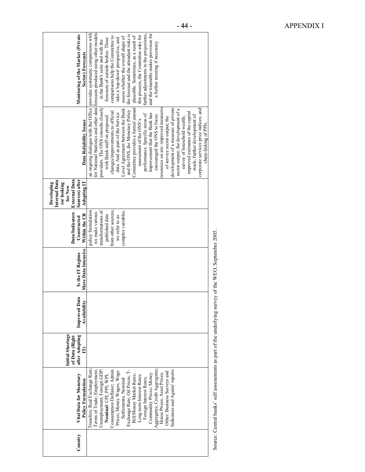| Country | Vital Data for Monetary<br><b>Policy Formulation</b>                                                                                                                                                                                                                                                                                                                                                                                                                                         | Initial Shortage<br>after Adopting<br>of Data (Right | <b>Improved Data</b><br>Availability | More Data Intensive<br>Is the IT Regime | <b>Data/Indicators</b><br>Within the CB<br>Constructed                                                                                       | <b>External Data</b><br>Sources) after<br>Internal Data<br>Adopting IT<br>(or looking<br>Developing<br>for New | Data Reliability Issues                                                                                                                                                                                                                                                                                                                                                                                                                                                                                                                                                                                                                                                                                            | Monitoring of the Market (Private<br>Sector) Forecasts                                                                                                                                                                                                                                                                                                                                                                                                                                                                                                                                                |
|---------|----------------------------------------------------------------------------------------------------------------------------------------------------------------------------------------------------------------------------------------------------------------------------------------------------------------------------------------------------------------------------------------------------------------------------------------------------------------------------------------------|------------------------------------------------------|--------------------------------------|-----------------------------------------|----------------------------------------------------------------------------------------------------------------------------------------------|----------------------------------------------------------------------------------------------------------------|--------------------------------------------------------------------------------------------------------------------------------------------------------------------------------------------------------------------------------------------------------------------------------------------------------------------------------------------------------------------------------------------------------------------------------------------------------------------------------------------------------------------------------------------------------------------------------------------------------------------------------------------------------------------------------------------------------------------|-------------------------------------------------------------------------------------------------------------------------------------------------------------------------------------------------------------------------------------------------------------------------------------------------------------------------------------------------------------------------------------------------------------------------------------------------------------------------------------------------------------------------------------------------------------------------------------------------------|
|         | Transfers; Real Exchange Rate;<br>Aggregates; Credit Aggregates;<br>Terms of Trade; Employment;<br>Unemployment; Foreign GDP;<br>Exchange Rate; Oil Prices; T-<br>Indicators and Agents' reports<br>Consumption Deflator; Admin<br>Prices; Money Wages; Wage<br>Other: Business Surveys and<br>Commodity Prices; Money<br>House Prices; Asset Prices;<br>Bill/Money Market Rates;<br>Long-term Interest Rates;<br>Nominal: CPI; PPI; WPI;<br>Settlements; Nominal<br>Foreign Interest Rates; |                                                      |                                      |                                         | from other sources;<br>transformations of<br>policy formulation<br>complex variables.<br>we make various<br>published data<br>we refer to as |                                                                                                                | providers. The ONS consults closely<br>resources on are: improved measures<br>development of a measure of private<br>Committee provides a formal amual<br>Level Agreement between the Bank<br>corporate services price indices; and<br>sector output; the development of a<br>and the ONS, the Monetary Policy<br>changes/improvements to official<br>improved estimates of the capital<br>data. And as part of the Service<br>improvement that the Bank has<br>performance. Specific areas of<br>stock; further development of<br>encouraged the ONS to focus<br>with Bank staff on proposed<br>survey of household wealth;<br>of service sector output; the<br>assessment of the ONS's<br>chain-linking of PPIs. | for National Statistics and other data forecasts produced using other models<br>an ongoing dialogue with the Office provides systematic comparisons with<br>further adjustments to the projections,<br>and the timetable makes provision for<br>the forecast and the attendant risks is<br>this process, the Committee asks for<br>plausible. Sometimes, as a result of<br>comparisons help the Committee to<br>assess whether the overall shape of<br>forecasts of outside bodies. These<br>take a 'top-down' perspective, and<br>in the Bank's suite and with the<br>a further meeting if necessary |
|         | Source: Central banks' self assessments as part of the underlying survey of the WEO, September 2005.                                                                                                                                                                                                                                                                                                                                                                                         |                                                      |                                      |                                         |                                                                                                                                              |                                                                                                                |                                                                                                                                                                                                                                                                                                                                                                                                                                                                                                                                                                                                                                                                                                                    |                                                                                                                                                                                                                                                                                                                                                                                                                                                                                                                                                                                                       |